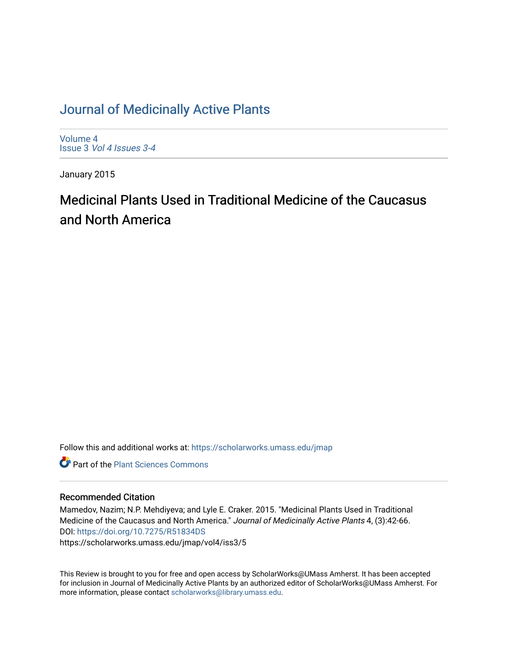### [Journal of Medicinally Active Plants](https://scholarworks.umass.edu/jmap)

[Volume 4](https://scholarworks.umass.edu/jmap/vol4) Issue 3 [Vol 4 Issues 3-4](https://scholarworks.umass.edu/jmap/vol4/iss3)

January 2015

## Medicinal Plants Used in Traditional Medicine of the Caucasus and North America

Follow this and additional works at: [https://scholarworks.umass.edu/jmap](https://scholarworks.umass.edu/jmap?utm_source=scholarworks.umass.edu%2Fjmap%2Fvol4%2Fiss3%2F5&utm_medium=PDF&utm_campaign=PDFCoverPages) 

**C** Part of the [Plant Sciences Commons](http://network.bepress.com/hgg/discipline/102?utm_source=scholarworks.umass.edu%2Fjmap%2Fvol4%2Fiss3%2F5&utm_medium=PDF&utm_campaign=PDFCoverPages)

#### Recommended Citation

Mamedov, Nazim; N.P. Mehdiyeva; and Lyle E. Craker. 2015. "Medicinal Plants Used in Traditional Medicine of the Caucasus and North America." Journal of Medicinally Active Plants 4, (3):42-66. DOI:<https://doi.org/10.7275/R51834DS> https://scholarworks.umass.edu/jmap/vol4/iss3/5

This Review is brought to you for free and open access by ScholarWorks@UMass Amherst. It has been accepted for inclusion in Journal of Medicinally Active Plants by an authorized editor of ScholarWorks@UMass Amherst. For more information, please contact [scholarworks@library.umass.edu](mailto:scholarworks@library.umass.edu).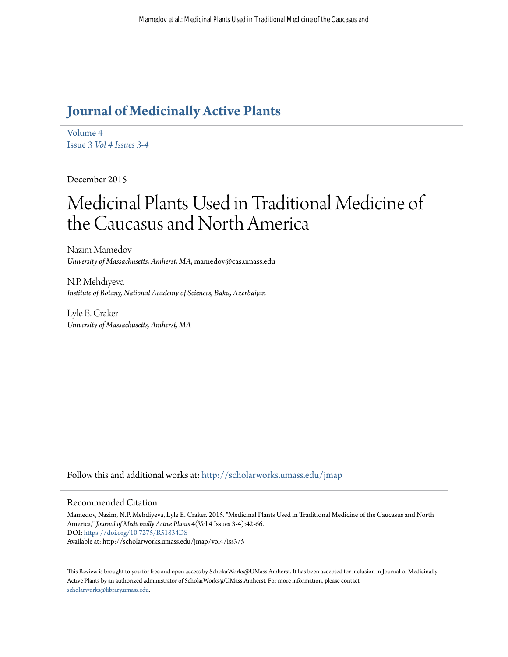## **[Journal of Medicinally Active Plants](http://scholarworks.umass.edu/jmap?utm_source=scholarworks.umass.edu%2Fjmap%2Fvol4%2Fiss3%2F5&utm_medium=PDF&utm_campaign=PDFCoverPages)**

[Volume 4](http://scholarworks.umass.edu/jmap/vol4?utm_source=scholarworks.umass.edu%2Fjmap%2Fvol4%2Fiss3%2F5&utm_medium=PDF&utm_campaign=PDFCoverPages) Issue 3 *[Vol 4 Issues 3-4](http://scholarworks.umass.edu/jmap/vol4/iss3?utm_source=scholarworks.umass.edu%2Fjmap%2Fvol4%2Fiss3%2F5&utm_medium=PDF&utm_campaign=PDFCoverPages)*

December 2015

# Medicinal Plants Used in Traditional Medicine of the Caucasus and North America

Nazim Mamedov *University of Massachusetts, Amherst, MA*, mamedov@cas.umass.edu

N.P. Mehdiyeva *Institute of Botany, National Academy of Sciences, Baku, Azerbaijan*

Lyle E. Craker *University of Massachusetts, Amherst, MA*

Follow this and additional works at: [http://scholarworks.umass.edu/jmap](http://scholarworks.umass.edu/jmap?utm_source=scholarworks.umass.edu%2Fjmap%2Fvol4%2Fiss3%2F5&utm_medium=PDF&utm_campaign=PDFCoverPages)

#### Recommended Citation

Mamedov, Nazim, N.P. Mehdiyeva, Lyle E. Craker. 2015. "Medicinal Plants Used in Traditional Medicine of the Caucasus and North America," *Journal of Medicinally Active Plants* 4(Vol 4 Issues 3-4):42-66. DOI: <https://doi.org/10.7275/R51834DS> Available at: http://scholarworks.umass.edu/jmap/vol4/iss3/5

This Review is brought to you for free and open access by ScholarWorks@UMass Amherst. It has been accepted for inclusion in Journal of Medicinally Active Plants by an authorized administrator of ScholarWorks@UMass Amherst. For more information, please contact [scholarworks@library.umass.edu](mailto:scholarworks@library.umass.edu).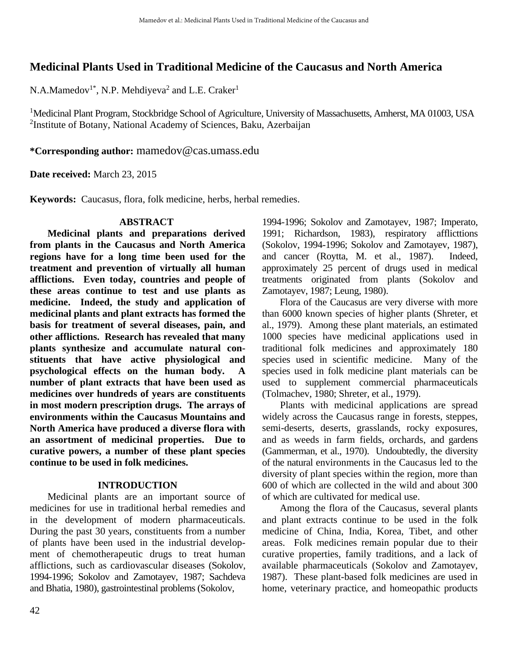#### **Medicinal Plants Used in Traditional Medicine of the Caucasus and North America**

N.A.Mamedov<sup>1\*</sup>, N.P. Mehdiyeva<sup>2</sup> and L.E. Craker<sup>1</sup>

<sup>1</sup>Medicinal Plant Program, Stockbridge School of Agriculture, University of Massachusetts, Amherst, MA 01003, USA <sup>2</sup>Institute of Botany, National Academy of Sciences, Baku, Azerbaijan

**\*Corresponding author:** [mamedov@cas.umass.edu](mailto:mamedov@cas.umass.edu)

**Date received:** March 23, 2015

**Keywords:** Caucasus, flora, folk medicine, herbs, herbal remedies.

#### **ABSTRACT**

**Medicinal plants and preparations derived from plants in the Caucasus and North America regions have for a long time been used for the treatment and prevention of virtually all human afflictions. Even today, countries and people of these areas continue to test and use plants as medicine. Indeed, the study and application of medicinal plants and plant extracts has formed the basis for treatment of several diseases, pain, and other afflictions. Research has revealed that many plants synthesize and accumulate natural constituents that have active physiological and psychological effects on the human body. A number of plant extracts that have been used as medicines over hundreds of years are constituents in most modern prescription drugs. The arrays of environments within the Caucasus Mountains and North America have produced a diverse flora with an assortment of medicinal properties. Due to curative powers, a number of these plant species continue to be used in folk medicines.** 

#### **INTRODUCTION**

Medicinal plants are an important source of medicines for use in traditional herbal remedies and in the development of modern pharmaceuticals. During the past 30 years, constituents from a number of plants have been used in the industrial development of chemotherapeutic drugs to treat human afflictions, such as cardiovascular diseases (Sokolov, 1994-1996; Sokolov and Zamotayev, 1987; Sachdeva and Bhatia, 1980), gastrointestinal problems (Sokolov,

1994-1996; Sokolov and Zamotayev, 1987; Imperato, 1991; Richardson, 1983), respiratory afflicttions (Sokolov, 1994-1996; Sokolov and Zamotayev, 1987), and cancer (Roytta, M. et al., 1987). Indeed, approximately 25 percent of drugs used in medical treatments originated from plants (Sokolov and Zamotayev, 1987; Leung, 1980).

Flora of the Caucasus are very diverse with more than 6000 known species of higher plants (Shreter, et al., 1979). Among these plant materials, an estimated 1000 species have medicinal applications used in traditional folk medicines and approximately 180 species used in scientific medicine. Many of the species used in folk medicine plant materials can be used to supplement commercial pharmaceuticals (Tolmachev, 1980; Shreter, et al., 1979).

Plants with medicinal applications are spread widely across the Caucasus range in forests, steppes, semi-deserts, deserts, grasslands, rocky exposures, and as weeds in farm fields, orchards, and gardens (Gammerman, et al., 1970). Undoubtedly, the diversity of the natural environments in the Caucasus led to the diversity of plant species within the region, more than 600 of which are collected in the wild and about 300 of which are cultivated for medical use.

Among the flora of the Caucasus, several plants and plant extracts continue to be used in the folk medicine of China, India, Korea, Tibet, and other areas. Folk medicines remain popular due to their curative properties, family traditions, and a lack of available pharmaceuticals (Sokolov and Zamotayev, 1987). These plant-based folk medicines are used in home, veterinary practice, and homeopathic products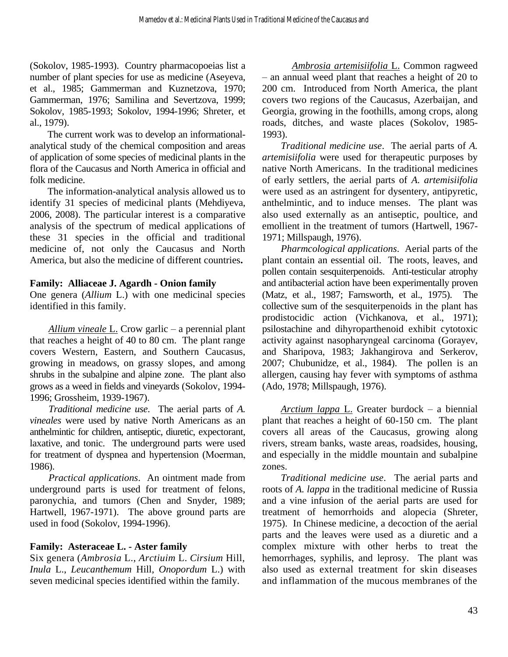(Sokolov, 1985-1993). Country pharmacopoeias list a number of plant species for use as medicine (Aseyeva, et al., 1985; Gammerman and Kuznetzova, 1970; Gammerman, 1976; Samilina and Severtzova, 1999; Sokolov, 1985-1993; Sokolov, 1994-1996; Shreter, et al., 1979).

The current work was to develop an informationalanalytical study of the chemical composition and areas of application of some species of medicinal plants in the flora of the Caucasus and North America in official and folk medicine.

The information-analytical analysis allowed us to identify 31 species of medicinal plants (Mehdiyeva, 2006, 2008). The particular interest is a comparative analysis of the spectrum of medical applications of these 31 species in the official and traditional medicine of, not only the Caucasus and North America, but also the medicine of different countries**.**

#### **Family: Alliaceae J. Agardh - Onion family**

One genera (*Allium* L.) with one medicinal species identified in this family.

*Allium vineale* L. Crow garlic – a perennial plant that reaches a height of 40 to 80 cm. The plant range covers Western, Eastern, and Southern Caucasus, growing in meadows, on grassy slopes, and among shrubs in the subalpine and alpine zone. The plant also grows as a weed in fields and vineyards (Sokolov, 1994- 1996; Grossheim, 1939-1967).

*Traditional medicine use*. The aerial parts of *A. vineales* were used by native North Americans as an anthelmintic for children, antiseptic, diuretic, expectorant, laxative, and tonic. The underground parts were used for treatment of dyspnea and hypertension (Мoerman, 1986).

*Practical applications*. An ointment made from underground parts is used for treatment of felons, paronychia, and tumors (Chen and Snyder, 1989; Hartwell, 1967-1971). The above ground parts are used in food (Sokolov, 1994-1996).

#### **Family: Asteraceae L. - Aster family**

Six genera (*Ambrosia* L., *Arctiuim* L. *Cirsium* Hill, *Inula* L., *Leucanthemum* Hill, *Onopordum* L.) with seven medicinal species identified within the family.

*Ambrosia artemisiifolia* L. Common ragweed – an annual weed plant that reaches a height of 20 to 200 cm. Introduced from North America, the plant covers two regions of the Caucasus, Azerbaijan, and Georgia, growing in the foothills, among crops, along roads, ditches, and waste places (Sokolov, 1985- 1993).

*Traditional medicine use*. The aerial parts of *A. artemisiifolia* were used for therapeutic purposes by native North Americans. In the traditional medicines of early settlers, the aerial parts of *A. artemisiifolia* were used as an astringent for dysentery, antipyretic, anthelmintic, and to induce menses. The plant was also used externally as an antiseptic, poultice, and emollient in the treatment of tumors (Hartwell, 1967- 1971; Millspaugh, 1976).

 *Pharmcological applications*. Aerial parts of the plant contain an essential oil. The roots, leaves, and pollen contain sesquiterpenoids. Anti-testicular atrophy and antibacterial action have been experimentally proven (Matz, et al., 1987; Farnsworth, et al., 1975). The collective sum of the sesquiterpenoids in the plant has prodistocidic action (Vichkanova, et al., 1971); psilostachine and dihyroparthenoid exhibit cytotoxic activity against nasopharyngeal carcinoma (Gorayev, and Sharipova, 1983; Jakhangirova and Serkerov, 2007; Chubunidze, et al., 1984). The pollen is an allergen, causing hay fever with symptoms of asthma (Ado, 1978; Millspaugh, 1976).

 *Arctium lappa* L. Greater burdock – a biennial plant that reaches a height of 60-150 cm. The plant covers all areas of the Caucasus, growing along rivers, stream banks, waste areas, roadsides, housing, and especially in the middle mountain and subalpine zones.

*Traditional medicine use*. The aerial parts and roots of *A. lappa* in the traditional medicine of Russia and a vine infusion of the aerial parts are used for treatment of hemorrhoids and alopecia (Shreter, 1975). In Chinese medicine, a decoction of the aerial parts and the leaves were used as a diuretic and a complex mixture with other herbs to treat the hemorrhages, syphilis, and leprosy. The plant was also used as external treatment for skin diseases and inflammation of the mucous membranes of the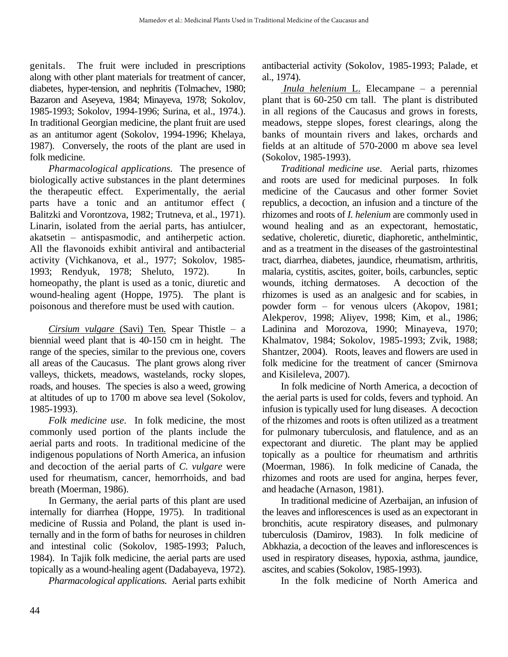genitals. The fruit were included in prescriptions along with other plant materials for treatment of cancer, diabetes, hyper-tension, and nephritis (Tolmachev, 1980; Bazaron and Aseyeva, 1984; Minayeva, 1978; Sokolov, 1985-1993; Sokolov, 1994-1996; Surina, et al., 1974.). In traditional Georgian medicine, the plant fruit are used as an antitumor agent (Sokolov, 1994-1996; Khelaya, 1987). Conversely, the roots of the plant are used in folk medicine.

*Pharmacological applications.* The presence of biologically active substances in the plant determines the therapeutic effect. Experimentally, the aerial parts have a tonic and an antitumor effect ( Balitzki and Vorontzova, 1982; Trutneva, et al., 1971). Linarin, isolated from the aerial parts, has antiulcer, akatsetin – antispasmodic, and antiherpetic action. All the flavonoids exhibit antiviral and antibacterial activity (Vichkanova, et al., 1977; Sokolov, 1985- 1993; Rendyuk, 1978; Sheluto, 1972). In homeopathy, the plant is used as a tonic, diuretic and wound-healing agent (Hoppe, 1975). The plant is poisonous and therefore must be used with caution.

*Cirsium vulgare* (Savi) Ten. Spear Thistle – a biennial weed plant that is 40-150 cm in height. The range of the species, similar to the previous one, covers all areas of the Caucasus. The plant grows along river valleys, thickets, meadows, wastelands, rocky slopes, roads, and houses. The species is also a weed, growing at altitudes of up to 1700 m above sea level (Sokolov, 1985-1993).

*Folk medicine use*. In folk medicine, the most commonly used portion of the plants include the aerial parts and roots. In traditional medicine of the indigenous populations of North America, an infusion and decoction of the aerial parts of *C. vulgare* were used for rheumatism, cancer, hemorrhoids, and bad breath (Moerman, 1986).

 In Germany, the aerial parts of this plant are used internally for diarrhea (Hoppe, 1975). In traditional medicine of Russia and Poland, the plant is used internally and in the form of baths for neuroses in children and intestinal colic (Sokolov, 1985-1993; Paluch, 1984). In Tajik folk medicine, the aerial parts are used topically as a wound-healing agent (Dadabayeva, 1972).

 *Pharmacological applications.* Aerial parts exhibit

antibacterial activity (Sokolov, 1985-1993; Palade, et al., 1974).

 *Inula helenium* L. Elecampane – a perennial plant that is 60-250 cm tall. The plant is distributed in all regions of the Caucasus and grows in forests, meadows, steppe slopes, forest clearings, along the banks of mountain rivers and lakes, orchards and fields at an altitude of 570-2000 m above sea level (Sokolov, 1985-1993).

*Traditional medicine use*. Aerial parts, rhizomes and roots are used for medicinal purposes. In folk medicine of the Caucasus and other former Soviet republics, a decoction, an infusion and a tincture of the rhizomes and roots of *I. helenium* are commonly used in wound healing and as an expectorant, hemostatic, sedative, choleretic, diuretic, diaphoretic, anthelmintic, and as a treatment in the diseases of the gastrointestinal tract, diarrhea, diabetes, jaundice, rheumatism, arthritis, malaria, cystitis, ascites, goiter, boils, carbuncles, septic wounds, itching dermatoses. A decoction of the rhizomes is used as an analgesic and for scabies, in powder form – for venous ulcers (Akopov, 1981; Alekperov, 1998; Aliyev, 1998; Kim, et al., 1986; Ladinina and Morozova, 1990; Minayeva, 1970; Khalmatov, 1984; Sokolov, 1985-1993; Zvik, 1988; Shantzer, 2004). Roots, leaves and flowers are used in folk medicine for the treatment of cancer (Smirnova and Kisileleva, 2007).

 In folk medicine of North America, a decoction of the aerial parts is used for colds, fevers and typhoid. An infusion is typically used for lung diseases. A decoction of the rhizomes and roots is often utilized as a treatment for pulmonary tuberculosis, and flatulence, and as an expectorant and diuretic. The plant may be applied topically as a poultice for rheumatism and arthritis (Moerman, 1986). In folk medicine of Canada, the rhizomes and roots are used for angina, herpes fever, and headache (Arnason, 1981).

 In traditional medicine of Azerbaijan, an infusion of the leaves and inflorescences is used as an expectorant in bronchitis, acute respiratory diseases, and pulmonary tuberculosis (Damirov, 1983). In folk medicine of Abkhazia, a decoction of the leaves and inflorescences is used in respiratory diseases, hypoxia, asthma, jaundice, ascites, and scabies (Sokolov, 1985-1993).

In the folk medicine of North America and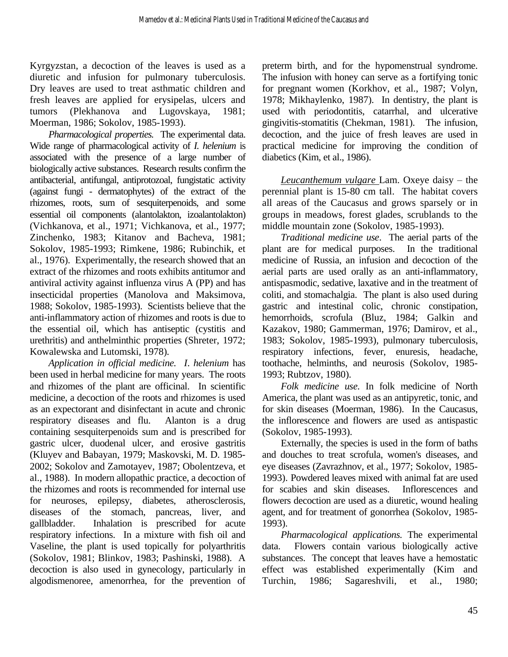Kyrgyzstan, a decoction of the leaves is used as a diuretic and infusion for pulmonary tuberculosis. Dry leaves are used to treat asthmatic children and fresh leaves are applied for erysipelas, ulcers and tumors (Plekhanova and Lugovskaya, 1981; Moerman, 1986; Sokolov, 1985-1993).

*Pharmacological properties.* The experimental data. Wide range of pharmacological activity of *I. helenium* is associated with the presence of a large number of biologically active substances. Research results confirm the antibacterial, antifungal, antiprotozoal, fungistatic activity (against fungi - dermatophytes) of the extract of the rhizomes, roots, sum of sesquiterpenoids, and some essential oil components (alantolakton, izoalantolakton) (Vichkanova, et al., 1971; Vichkanova, et al., 1977; Zinchenko, 1983; Kitanov and Bacheva, 1981; Sokolov, 1985-1993; Rimkene, 1986; Rubinchik, et al., 1976). Experimentally, the research showed that an extract of the rhizomes and roots exhibits antitumor and antiviral activity against influenza virus A (PP) and has insecticidal properties (Manolova and Maksimova, 1988; Sokolov, 1985-1993). Scientists believe that the anti-inflammatory action of rhizomes and roots is due to the essential oil, which has antiseptic (cystitis and urethritis) and anthelminthic properties (Shreter, 1972; Kowalewska and Lutomski, 1978).

*Application in official medicine. I*. *helenium* has been used in herbal medicine for many years. The roots and rhizomes of the plant are officinal. In scientific medicine, a decoction of the roots and rhizomes is used as an expectorant and disinfectant in acute and chronic respiratory diseases and flu. Alanton is a drug containing sesquiterpenoids sum and is prescribed for gastric ulcer, duodenal ulcer, and erosive gastritis (Kluyev and Babayan, 1979; Maskovski, M. D. 1985- 2002; Sokolov and Zamotayev, 1987; Obolentzeva, et al., 1988). In modern allopathic practice, a decoction of the rhizomes and roots is recommended for internal use for neuroses, epilepsy, diabetes, atherosclerosis, diseases of the stomach, pancreas, liver, and gallbladder. Inhalation is prescribed for acute respiratory infections. In a mixture with fish oil and Vaseline, the plant is used topically for polyarthritis (Sokolov, 1981; Blinkov, 1983; Pashinski, 1988). A decoction is also used in gynecology, particularly in algodismenoree, amenorrhea, for the prevention of

preterm birth, and for the hypomenstrual syndrome. The infusion with honey can serve as a fortifying tonic for pregnant women (Korkhov, et al., 1987; Volyn, 1978; Mikhaylenko, 1987). In dentistry, the plant is used with periodontitis, catarrhal, and ulcerative gingivitis-stomatitis (Chekman, 1981). The infusion, decoction, and the juice of fresh leaves are used in practical medicine for improving the condition of diabetics (Kim, et al., 1986).

*Leucanthemum vulgare* Lam. Oxeye daisy – the perennial plant is 15-80 cm tall. The habitat covers all areas of the Caucasus and grows sparsely or in groups in meadows, forest glades, scrublands to the middle mountain zone (Sokolov, 1985-1993).

*Traditional medicine use*. The aerial parts of the plant are for medical purposes. In the traditional medicine of Russia, an infusion and decoction of the aerial parts are used orally as an anti-inflammatory, antispasmodic, sedative, laxative and in the treatment of coliti, and stomachalgia. The plant is also used during gastric and intestinal colic, chronic constipation, hemorrhoids, scrofula (Bluz, 1984; Galkin and Kazakov, 1980; Gammerman, 1976; Damirov, et al., 1983; Sokolov, 1985-1993), pulmonary tuberculosis, respiratory infections, fever, enuresis, headache, toothache, helminths, and neurosis (Sokolov, 1985- 1993; Rubtzov, 1980).

*Folk medicine use*. In folk medicine of North America, the plant was used as an antipyretic, tonic, and for skin diseases (Moerman, 1986). In the Caucasus, the inflorescence and flowers are used as antispastic (Sokolov, 1985-1993).

 Externally, the species is used in the form of baths and douches to treat scrofula, women's diseases, and eye diseases (Zavrazhnov, et al., 1977; Sokolov, 1985- 1993). Powdered leaves mixed with animal fat are used for scabies and skin diseases. Inflorescences and flowers decoction are used as a diuretic, wound healing agent, and for treatment of gonorrhea (Sokolov, 1985- 1993).

*Pharmacological applications.* The experimental data. Flowers contain various biologically active substances. The concept that leaves have a hemostatic effect was established experimentally (Kim and Turchin, 1986; Sagareshvili, et al., 1980;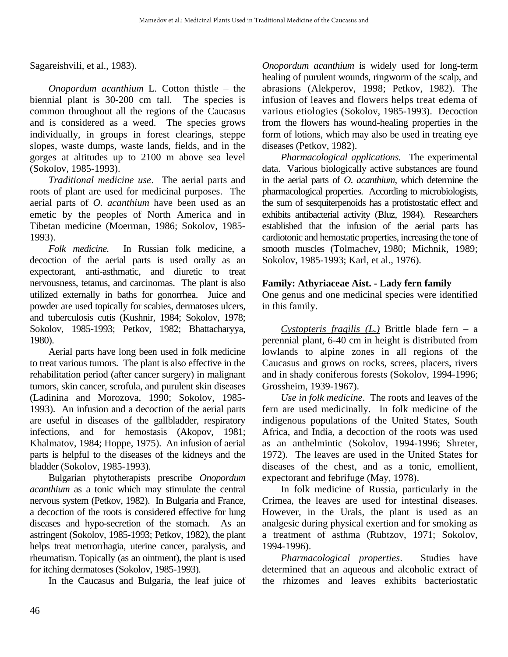Sagareishvili, et al., 1983).

*Onopordum acanthium* L*.* Cotton thistle – the biennial plant is 30-200 cm tall. The species is common throughout all the regions of the Caucasus and is considered as a weed. The species grows individually, in groups in forest clearings, steppe slopes, waste dumps, waste lands, fields, and in the gorges at altitudes up to 2100 m above sea level (Sokolov, 1985-1993).

*Traditional medicine use*. The aerial parts and roots of plant are used for medicinal purposes. The aerial parts of *O. acanthium* have been used as an emetic by the peoples of North America and in Tibetan medicine (Moerman, 1986; Sokolov, 1985- 1993).

*Folk medicine.* In Russian folk medicine, a decoction of the aerial parts is used orally as an expectorant, anti-asthmatic, and diuretic to treat nervousness, tetanus, and carcinomas. The plant is also utilized externally in baths for gonorrhea. Juice and powder are used topically for scabies, dermatoses ulcers, and tuberculosis cutis (Kushnir, 1984; Sokolov, 1978; Sokolov, 1985-1993; Petkov, 1982; Bhattacharyya, 1980).

 Aerial parts have long been used in folk medicine to treat various tumors. The plant is also effective in the rehabilitation period (after cancer surgery) in malignant tumors, skin cancer, scrofula, and purulent skin diseases (Ladinina and Morozova, 1990; Sokolov, 1985- 1993). An infusion and a decoction of the aerial parts are useful in diseases of the gallbladder, respiratory infections, and for hemostasis (Akopov, 1981; Khalmatov, 1984; Hoppe, 1975). An infusion of aerial parts is helpful to the diseases of the kidneys and the bladder (Sokolov, 1985-1993).

 Bulgarian phytotherapists prescribe *Onopordum acanthium* as a tonic which may stimulate the central nervous system (Petkov, 1982). In Bulgaria and France, a decoction of the roots is considered effective for lung diseases and hypo-secretion of the stomach. As an astringent (Sokolov, 1985-1993; Petkov, 1982), the plant helps treat metrorrhagia, uterine cancer, paralysis, and rheumatism. Topically (as an ointment), the plant is used for itching dermatoses (Sokolov, 1985-1993).

In the Caucasus and Bulgaria, the leaf juice of

*Onopordum acanthium* is widely used for long-term healing of purulent wounds, ringworm of the scalp, and abrasions (Alekperov, 1998; Petkov, 1982). The infusion of leaves and flowers helps treat edema of various etiologies (Sokolov, 1985-1993). Decoction from the flowers has wound-healing properties in the form of lotions, which may also be used in treating eye diseases (Petkov, 1982).

*Pharmacological applications.* The experimental data. Various biologically active substances are found in the aerial parts of *O*. *acanthium*, which determine the pharmacological properties. According to microbiologists, the sum of sesquiterpenoids has a protistostatic effect and exhibits antibacterial activity (Bluz, 1984). Researchers established that the infusion of the aerial parts has cardiotonic and hemostatic properties, increasing the tone of smooth muscles (Tolmachev, 1980; Michnik, 1989; Sokolov, 1985-1993; Karl, et al., 1976).

#### **Family: Athyriaceae Aist. - Lady fern family**

One genus and one medicinal species were identified in this family.

*Cystopteris fragilis (L.)* Brittle blade fern – a perennial plant, 6-40 cm in height is distributed from lowlands to alpine zones in all regions of the Caucasus and grows on rocks, screes, placers, rivers and in shady coniferous forests (Sokolov, 1994-1996; Grossheim, 1939-1967).

*Use in folk medicine*. The roots and leaves of the fern are used medicinally. In folk medicine of the indigenous populations of the United States, South Africa, and India, a decoction of the roots was used as an anthelmintic (Sokolov, 1994-1996; Shreter, 1972). The leaves are used in the United States for diseases of the chest, and as a tonic, emollient, expectorant and febrifuge (May, 1978).

 In folk medicine of Russia, particularly in the Crimea, the leaves are used for intestinal diseases. However, in the Urals, the plant is used as an analgesic during physical exertion and for smoking as a treatment of asthma (Rubtzov, 1971; Sokolov, 1994-1996).

*Pharmacological properties*. Studies have determined that an aqueous and alcoholic extract of the rhizomes and leaves exhibits bacteriostatic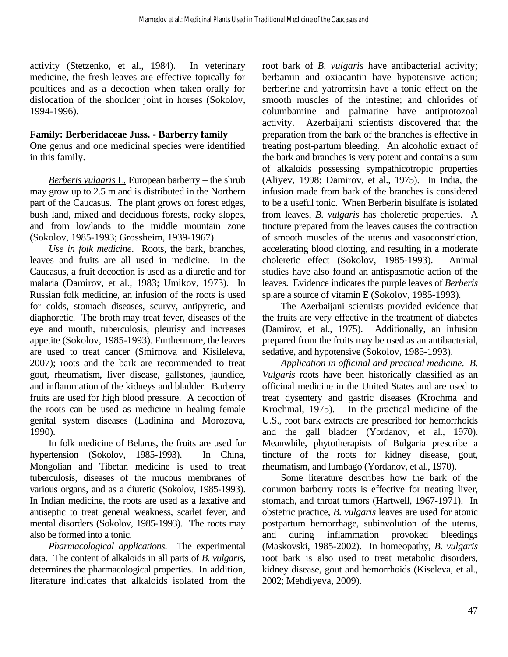activity (Stetzenko, et al., 1984). In veterinary medicine, the fresh leaves are effective topically for poultices and as a decoction when taken orally for dislocation of the shoulder joint in horses (Sokolov, 1994-1996).

#### **Family: Berberidaceae Juss. - Barberry family**

One genus and one medicinal species were identified in this family.

*Berberis vulgaris* L*.* European barberry – the shrub may grow up to 2.5 m and is distributed in the Northern part of the Caucasus. The plant grows on forest edges, bush land, mixed and deciduous forests, rocky slopes, and from lowlands to the middle mountain zone (Sokolov, 1985-1993; Grossheim, 1939-1967).

*Use in folk medicine*. Roots, the bark, branches, leaves and fruits are all used in medicine. In the Caucasus, a fruit decoction is used as a diuretic and for malaria (Damirov, et al., 1983; Umikov, 1973). In Russian folk medicine, an infusion of the roots is used for colds, stomach diseases, scurvy, antipyretic, and diaphoretic. The broth may treat fever, diseases of the eye and mouth, tuberculosis, pleurisy and increases appetite (Sokolov, 1985-1993). Furthermore, the leaves are used to treat cancer (Smirnova and Kisileleva, 2007); roots and the bark are recommended to treat gout, rheumatism, liver disease, gallstones, jaundice, and inflammation of the kidneys and bladder. Barberry fruits are used for high blood pressure. A decoction of the roots can be used as medicine in healing female genital system diseases (Ladinina and Morozova, 1990).

 In folk medicine of Belarus, the fruits are used for hypertension (Sokolov, 1985-1993). In China, Mongolian and Tibetan medicine is used to treat tuberculosis, diseases of the mucous membranes of various organs, and as a diuretic (Sokolov, 1985-1993). In Indian medicine, the roots are used as a laxative and antiseptic to treat general weakness, scarlet fever, and mental disorders (Sokolov, 1985-1993). The roots may also be formed into a tonic.

*Pharmacological applications.* The experimental data. The content of alkaloids in all parts of *B. vulgaris*, determines the pharmacological properties. In addition, literature indicates that alkaloids isolated from the root bark of *B. vulgaris* have antibacterial activity; berbamin and oxiacantin have hypotensive action; berberine and yatrorritsin have a tonic effect on the smooth muscles of the intestine; and chlorides of columbamine and palmatine have antiprotozoal activity. Azerbaijani scientists discovered that the preparation from the bark of the branches is effective in treating post-partum bleeding. An alcoholic extract of the bark and branches is very potent and contains a sum of alkaloids possessing sympathicotropic properties (Aliyev, 1998; Damirov, et al., 1975). In India, the infusion made from bark of the branches is considered to be a useful tonic. When Berberin bisulfate is isolated from leaves, *B. vulgaris* has choleretic properties. A tincture prepared from the leaves causes the contraction of smooth muscles of the uterus and vasoconstriction, accelerating blood clotting, and resulting in a moderate choleretic effect (Sokolov, 1985-1993). Animal studies have also found an antispasmotic action of the leaves. Evidence indicates the purple leaves of *Berberis* sp.are a source of vitamin E (Sokolov, 1985-1993).

 The Azerbaijani scientists provided evidence that the fruits are very effective in the treatment of diabetes (Damirov, et al., 1975). Additionally, an infusion prepared from the fruits may be used as an antibacterial, sedative, and hypotensive (Sokolov, 1985-1993).

*Application in officinal and practical medicine*. *B*. *Vulgaris* roots have been historically classified as an officinal medicine in the United States and are used to treat dysentery and gastric diseases (Krochma and Krochmal, 1975). In the practical medicine of the U.S., root bark extracts are prescribed for hemorrhoids and the gall bladder (Yordanov, et al., 1970). Meanwhile, phytotherapists of Bulgaria prescribe a tincture of the roots for kidney disease, gout, rheumatism, and lumbago (Yordanov, et al., 1970).

 Some literature describes how the bark of the common barberry roots is effective for treating liver, stomach, and throat tumors (Hartwell, 1967-1971). In obstetric practice, *B. vulgaris* leaves are used for atonic postpartum hemorrhage, subinvolution of the uterus, and during inflammation provoked bleedings (Maskovski, 1985-2002). In homeopathy, *B. vulgaris* root bark is also used to treat metabolic disorders, kidney disease, gout and hemorrhoids (Kiseleva, et al., 2002; Mehdiyeva, 2009).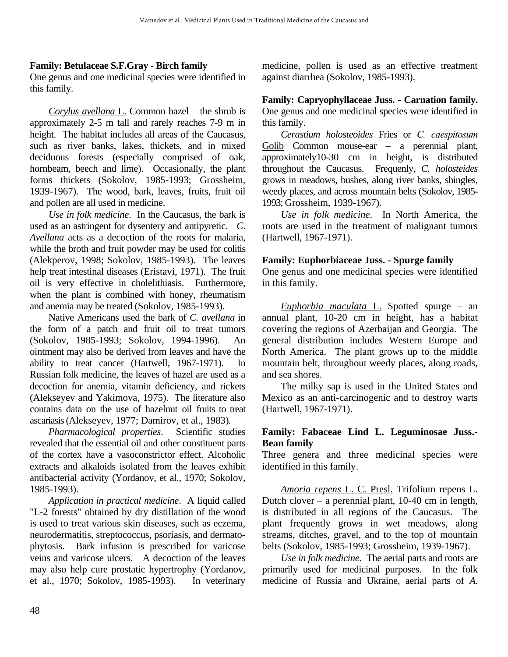#### **Family: Betulaceae S.F.Gray - Birch family**

One genus and one medicinal species were identified in this family.

*Corylus avellana* L. Common hazel – the shrub is approximately 2-5 m tall and rarely reaches 7-9 m in height. The habitat includes all areas of the Caucasus, such as river banks, lakes, thickets, and in mixed deciduous forests (especially comprised of oak, hornbeam, beech and lime). Occasionally, the plant forms thickets (Sokolov, 1985-1993; Grossheim, 1939-1967). The wood, bark, leaves, fruits, fruit oil and pollen are all used in medicine.

*Use in folk medicine*. In the Caucasus, the bark is used as an astringent for dysentery and antipyretic. *C*. *Avellana* acts as a decoction of the roots for malaria, while the broth and fruit powder may be used for colitis (Alekperov, 1998; Sokolov, 1985-1993). The leaves help treat intestinal diseases (Eristavi, 1971). The fruit oil is very effective in cholelithiasis. Furthermore, when the plant is combined with honey, rheumatism and anemia may be treated (Sokolov, 1985-1993).

Native Americans used the bark of *C. avellana* in the form of a patch and fruit oil to treat tumors (Sokolov, 1985-1993; Sokolov, 1994-1996). An ointment may also be derived from leaves and have the ability to treat cancer (Hartwell, 1967-1971). In Russian folk medicine, the leaves of hazel are used as a decoction for anemia, vitamin deficiency, and rickets (Alekseyev and Yakimova, 1975). The literature also contains data on the use of hazelnut oil fruits to treat ascariasis (Alekseyev, 1977; Damirov, et al., 1983).

*Pharmacological properties*. Scientific studies revealed that the essential oil and other constituent parts of the cortex have a vasoconstrictor effect. Alcoholic extracts and alkaloids isolated from the leaves exhibit antibacterial activity (Yordanov, et al., 1970; Sokolov, 1985-1993).

 *Application in practical medicine*. A liquid called "L-2 forests" obtained by dry distillation of the wood is used to treat various skin diseases, such as eczema, neurodermatitis, streptococcus, psoriasis, and dermatophytosis. Bark infusion is prescribed for varicose veins and varicose ulcers. A decoction of the leaves may also help cure prostatic hypertrophy (Yordanov, et al., 1970; Sokolov, 1985-1993). In veterinary medicine, pollen is used as an effective treatment against diarrhea (Sokolov, 1985-1993).

#### **Family: Capryophyllaceae Juss. - Carnation family.**

One genus and one medicinal species were identified in this family.

*Cerastium holosteoides* Fries or *С. caespitosum* Golib Common mouse-ear – a perennial plant, approximately10-30 cm in height, is distributed throughout the Caucasus. Frequenly, *C. holosteides*  grows in meadows, bushes, along river banks, shingles, weedy places, and across mountain belts (Sokolov, 1985- 1993; Grossheim, 1939-1967).

*Use in folk medicine*. In North America, the roots are used in the treatment of malignant tumors (Hartwell, 1967-1971).

#### **Family: Euphorbiaceae Juss. - Spurge family**

One genus and one medicinal species were identified in this family.

*Euphorbia maculata* L. Spotted spurge – an annual plant, 10-20 cm in height, has a habitat covering the regions of Azerbaijan and Georgia. The general distribution includes Western Europe and North America. The plant grows up to the middle mountain belt, throughout weedy places, along roads, and sea shores.

 The milky sap is used in the United States and Mexico as an anti-carcinogenic and to destroy warts (Hartwell, 1967-1971).

#### **Family: Fabaceae Lind L. Leguminosae Juss.***-* **Bean family**

Three genera and three medicinal species were identified in this family.

 *Amoria repens* L. C. Presl. Trifolium repens L. Dutch clover – a perennial plant, 10-40 cm in length, is distributed in all regions of the Caucasus. The plant frequently grows in wet meadows, along streams, ditches, gravel, and to the top of mountain belts (Sokolov, 1985-1993; Grossheim, 1939-1967).

*Use in folk medicine*. The aerial parts and roots are primarily used for medicinal purposes. In the folk medicine of Russia and Ukraine, aerial parts of *A.*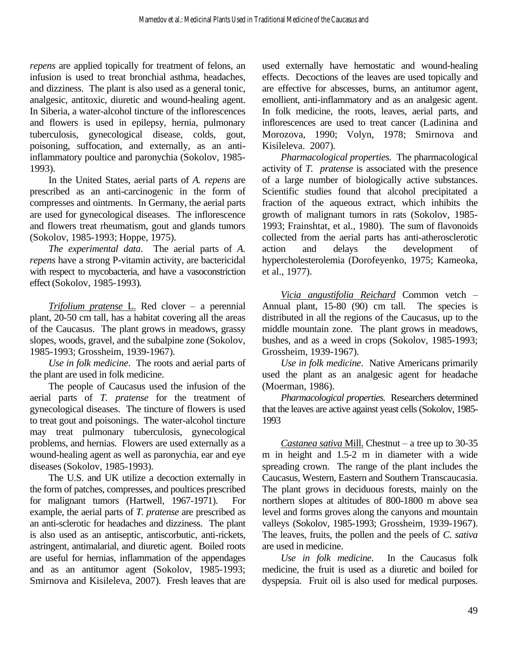*repens* are applied topically for treatment of felons, an infusion is used to treat bronchial asthma, headaches, and dizziness. The plant is also used as a general tonic, analgesic, antitoxic, diuretic and wound-healing agent. In Siberia, a water-alcohol tincture of the inflorescences and flowers is used in epilepsy, hernia, pulmonary tuberculosis, gynecological disease, colds, gout, poisoning, suffocation, and externally, as an antiinflammatory poultice and paronychia (Sokolov, 1985- 1993).

 In the United States, aerial parts of *A. repens* are prescribed as an anti-carcinogenic in the form of compresses and ointments. In Germany, the aerial parts are used for gynecological diseases. The inflorescence and flowers treat rheumatism, gout and glands tumors (Sokolov, 1985-1993; Hoppe, 1975).

*The experimental data*. The aerial parts of *A. repens* have a strong P-vitamin activity, are bactericidal with respect to mycobacteria, and have a vasoconstriction effect (Sokolov, 1985-1993).

*Trifolium pratense* L. Red clover – a perennial plant, 20-50 cm tall, has a habitat covering all the areas of the Caucasus. The plant grows in meadows, grassy slopes, woods, gravel, and the subalpine zone (Sokolov, 1985-1993; Grossheim, 1939-1967).

 *Use in folk medicine*. The roots and aerial parts of the plant are used in folk medicine.

 The people of Caucasus used the infusion of the aerial parts of *T. pratense* for the treatment of gynecological diseases. The tincture of flowers is used to treat gout and poisonings. The water-alcohol tincture may treat pulmonary tuberculosis, gynecological problems, and hernias. Flowers are used externally as a wound-healing agent as well as paronychia, ear and eye diseases (Sokolov, 1985-1993).

 The U.S. and UK utilize a decoction externally in the form of patches, compresses, and poultices prescribed for malignant tumors (Hartwell, 1967-1971). For example, the aerial parts of *T. pratense* are prescribed as an anti-sclerotic for headaches and dizziness. The plant is also used as an antiseptic, antiscorbutic, anti-rickets, astringent, antimalarial, and diuretic agent. Boiled roots are useful for hernias, inflammation of the appendages and as an antitumor agent (Sokolov, 1985-1993; Smirnova and Kisileleva, 2007). Fresh leaves that are used externally have hemostatic and wound-healing effects. Decoctions of the leaves are used topically and are effective for abscesses, burns, an antitumor agent, emollient, anti-inflammatory and as an analgesic agent. In folk medicine, the roots, leaves, aerial parts, and inflorescences are used to treat cancer (Ladinina and Morozova, 1990; Volyn, 1978; Smirnova and Kisileleva. 2007).

*Pharmacological properties.* The pharmacological activity of *T. pratense* is associated with the presence of a large number of biologically active substances. Scientific studies found that alcohol precipitated a fraction of the aqueous extract, which inhibits the growth of malignant tumors in rats (Sokolov, 1985- 1993; Frainshtat, et al., 1980). The sum of flavonoids collected from the aerial parts has anti-atherosclerotic action and delays the development of hypercholesterolemia (Dorofeyenko, 1975; Kameoka, et al., 1977).

*Vicia angustifolia Reichard* Common vetch *–*  Annual plant, 15-80 (90) cm tall. The species is distributed in all the regions of the Caucasus, up to the middle mountain zone. The plant grows in meadows, bushes, and as a weed in crops (Sokolov, 1985-1993; Grossheim, 1939-1967).

*Use in folk medicine*. Native Americans primarily used the plant as an analgesic agent for headache (Moerman, 1986).

*Pharmacological properties.* Researchers determined that the leaves are active against yeast cells (Sokolov, 1985- 1993

 *Castanea sativa* Mill. Chestnut – a tree up to 30-35 m in height and 1.5-2 m in diameter with a wide spreading crown. The range of the plant includes the Caucasus, Western, Eastern and Southern Transcaucasia. The plant grows in deciduous forests, mainly on the northern slopes at altitudes of 800-1800 m above sea level and forms groves along the canyons and mountain valleys (Sokolov, 1985-1993; Grossheim, 1939-1967). The leaves, fruits, the pollen and the peels of *C. sativa* are used in medicine.

*Use in folk medicine*. In the Caucasus folk medicine, the fruit is used as a diuretic and boiled for dyspepsia. Fruit oil is also used for medical purposes.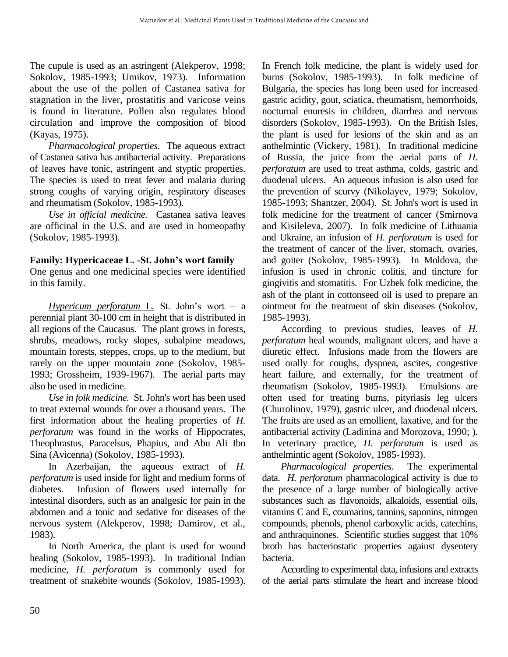The cupule is used as an astringent (Alekperov, 1998; Sokolov, 1985-1993; Umikov, 1973). Information about the use of the pollen of Castanea sativa for stagnation in the liver, prostatitis and varicose veins is found in literature. Pollen also regulates blood circulation and improve the composition of blood (Kayas, 1975).

 *Pharmacological properties.* The aqueous extract of Castanea sativa has antibacterial activity. Preparations of leaves have tonic, astringent and styptic properties. The species is used to treat fever and malaria during strong coughs of varying origin, respiratory diseases and rheumatism (Sokolov, 1985-1993).

 *Use in official medicine.* Castanea sativa leaves are officinal in the U.S. and are used in homeopathy (Sokolov, 1985-1993).

#### **Family: Hypericaceae L. -St. John's wort family**

One genus and one medicinal species were identified in this family.

*Hypericum perforatum* L*.* St. John's wort – a perennial plant 30-100 cm in height that is distributed in all regions of the Caucasus. The plant grows in forests, shrubs, meadows, rocky slopes, subalpine meadows, mountain forests, steppes, crops, up to the medium, but rarely on the upper mountain zone (Sokolov, 1985- 1993; Grossheim, 1939-1967). The aerial parts may also be used in medicine.

*Use in folk medicine.* St. John's wort has been used to treat external wounds for over a thousand years. The first information about the healing properties of *H. perforatum* was found in the works of Hippocrates, Theophrastus, Paracelsus, Phapius, and Abu Ali Ibn Sina (Avicenna) (Sokolov, 1985-1993).

 In Azerbaijan, the aqueous extract of *H. perforatum* is used inside for light and medium forms of diabetes. Infusion of flowers used internally for intestinal disorders, such as an analgesic for pain in the abdomen and a tonic and sedative for diseases of the nervous system (Alekperov, 1998; Damirov, et al., 1983).

 In North America, the plant is used for wound healing (Sokolov, 1985-1993). In traditional Indian medicine*, H. perforatum* is commonly used for treatment of snakebite wounds (Sokolov, 1985-1993). In French folk medicine, the plant is widely used for burns (Sokolov, 1985-1993). In folk medicine of Bulgaria, the species has long been used for increased gastric acidity, gout, sciatica, rheumatism, hemorrhoids, nocturnal enuresis in children, diarrhea and nervous disorders (Sokolov, 1985-1993). On the British Isles, the plant is used for lesions of the skin and as an anthelmintic (Vickery, 1981). In traditional medicine of Russia, the juice from the aerial parts of *H. perforatum* are used to treat asthma, colds, gastric and duodenal ulcers. An aqueous infusion is also used for the prevention of scurvy (Nikolayev, 1979; Sokolov, 1985-1993; Shantzer, 2004). St. John's wort is used in folk medicine for the treatment of cancer (Smirnova and Kisileleva, 2007). In folk medicine of Lithuania and Ukraine, an infusion of *H. perforatum* is used for the treatment of cancer of the liver, stomach, ovaries, and goiter (Sokolov, 1985-1993). In Moldova, the infusion is used in chronic colitis, and tincture for gingivitis and stomatitis*.* For Uzbek folk medicine, the ash of the plant in cottonseed oil is used to prepare an ointment for the treatment of skin diseases (Sokolov, 1985-1993).

 According to previous studies, leaves of *H. perforatum* heal wounds, malignant ulcers, and have a diuretic effect. Infusions made from the flowers are used orally for coughs, dyspnea, ascites, congestive heart failure, and externally, for the treatment of rheumatism (Sokolov, 1985-1993). Emulsions are often used for treating burns, pityriasis leg ulcers (Churolinov, 1979), gastric ulcer, and duodenal ulcers. The fruits are used as an emollient, laxative, and for the antibacterial activity (Ladinina and Morozova, 1990; ). In veterinary practice, *H. perforatum* is used as anthelmintic agent (Sokolov, 1985-1993).

*Pharmacological properties.* The experimental data. *H. perforatum* pharmacological activity is due to the presence of a large number of biologically active substances such as flavonoids, alkaloids, essential oils, vitamins C and E, coumarins, tannins, saponins, nitrogen compounds, phenols, phenol carboxylic acids, catechins, and anthraquinones. Scientific studies suggest that 10% broth has bacteriostatic properties against dysentery bacteria.

 According to experimental data, infusions and extracts of the aerial parts stimulate the heart and increase blood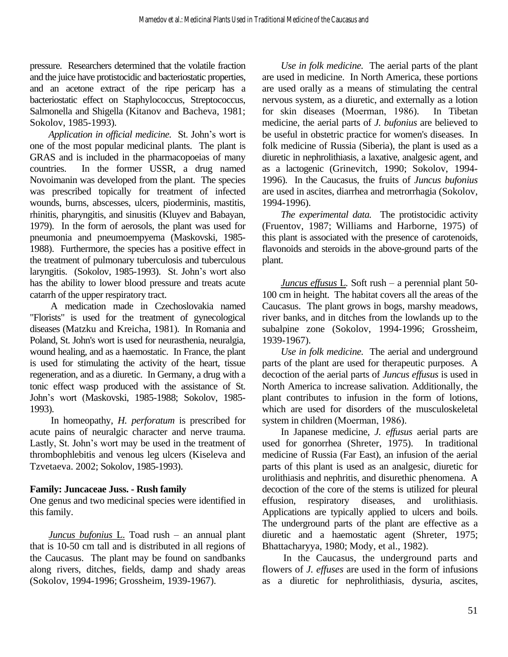pressure. Researchers determined that the volatile fraction and the juice have protistocidic and bacteriostatic properties, and an acetone extract of the ripe pericarp has a bacteriostatic effect on Staphylococcus, Streptococcus, Salmonella and Shigella (Kitanov and Bacheva, 1981; Sokolov, 1985-1993).

*Application in official medicine.* St. John's wort is one of the most popular medicinal plants. The plant is GRAS and is included in the pharmacopoeias of many countries. In the former USSR, a drug named Novoimanin was developed from the plant. The species was prescribed topically for treatment of infected wounds, burns, abscesses, ulcers, pioderminis, mastitis, rhinitis, pharyngitis, and sinusitis (Kluyev and Babayan, 1979). In the form of aerosols, the plant was used for pneumonia and pneumoempyema (Maskovski, 1985- 1988). Furthermore, the species has a positive effect in the treatment of pulmonary tuberculosis and tuberculous laryngitis. (Sokolov, 1985-1993). St. John's wort also has the ability to lower blood pressure and treats acute catarrh of the upper respiratory tract.

 A medication made in Czechoslovakia named "Florists" is used for the treatment of gynecological diseases (Matzku and Kreicha, 1981). In Romania and Poland, St. John's wort is used for neurasthenia, neuralgia, wound healing, and as a haemostatic. In France, the plant is used for stimulating the activity of the heart, tissue regeneration, and as a diuretic. In Germany, a drug with a tonic effect wasp produced with the assistance of St. John's wort (Maskovski, 1985-1988; Sokolov, 1985- 1993).

 In homeopathy, *H. perforatum* is prescribed for acute pains of neuralgic character and nerve trauma. Lastly, St. John's wort may be used in the treatment of thrombophlebitis and venous leg ulcers (Kiseleva and Tzvetaeva. 2002; Sokolov, 1985-1993).

#### **Family: Juncaceae Juss. - Rush family**

One genus and two medicinal species were identified in this family.

*Juncus bufonius* L. Toad rush – an annual plant that is 10-50 cm tall and is distributed in all regions of the Caucasus. The plant may be found on sandbanks along rivers, ditches, fields, damp and shady areas (Sokolov, 1994-1996; Grossheim, 1939-1967).

*Use in folk medicine.* The aerial parts of the plant are used in medicine. In North America, these portions are used orally as a means of stimulating the central nervous system, as a diuretic, and externally as a lotion for skin diseases (Мoerman, 1986). In Tibetan medicine, the aerial parts of *J. bufonius* are believed to be useful in obstetric practice for women's diseases. In folk medicine of Russia (Siberia), the plant is used as a diuretic in nephrolithiasis, a laxative, analgesic agent, and as a lactogenic (Grinevitch, 1990; Sokolov, 1994- 1996). In the Caucasus, the fruits of *Juncus bufonius* are used in ascites, diarrhea and metrorrhagia (Sokolov, 1994-1996).

*The experimental data.* The protistocidic activity (Fruentov, 1987; Williams and Harborne, 1975) of this plant is associated with the presence of carotenoids, flavonoids and steroids in the above-ground parts of the plant.

 *Juncus effusus* L*.* Soft rush – a perennial plant 50- 100 cm in height. The habitat covers all the areas of the Caucasus. The plant grows in bogs, marshy meadows, river banks, and in ditches from the lowlands up to the subalpine zone (Sokolov, 1994-1996; Grossheim, 1939-1967).

 *Use in folk medicine.* The aerial and underground parts of the plant are used for therapeutic purposes. A decoction of the aerial parts of *Juncus effusus* is used in North America to increase salivation. Additionally, the plant contributes to infusion in the form of lotions, which are used for disorders of the musculoskeletal system in children (Мoerman, 1986).

 In Japanese medicine, *J. effusus* aerial parts are used for gonorrhea (Shreter, 1975). In traditional medicine of Russia (Far East), an infusion of the aerial parts of this plant is used as an analgesic, diuretic for urolithiasis and nephritis, and disurethic phenomena. A decoction of the core of the stems is utilized for pleural effusion, respiratory diseases, and urolithiasis. Applications are typically applied to ulcers and boils. The underground parts of the plant are effective as a diuretic and a haemostatic agent (Shreter, 1975; Bhattacharyya, 1980; Mody, et al., 1982).

 In the Caucasus, the underground parts and flowers of *J. effuses* are used in the form of infusions as a diuretic for nephrolithiasis, dysuria, ascites,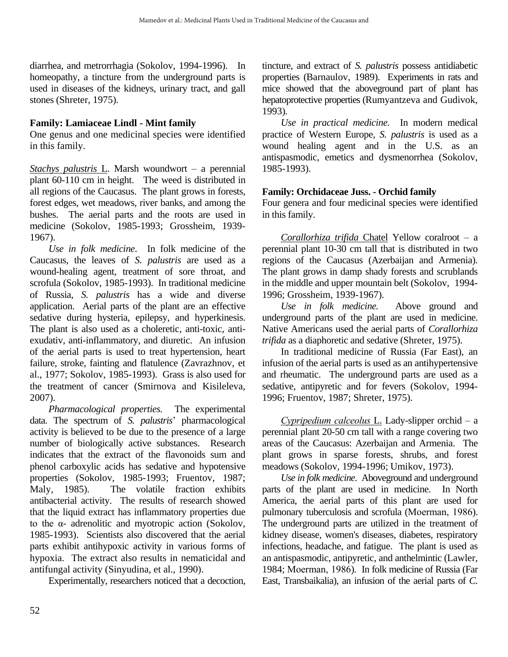diarrhea, and metrorrhagia (Sokolov, 1994-1996). In homeopathy, a tincture from the underground parts is used in diseases of the kidneys, urinary tract, and gall stones (Shreter, 1975).

#### **Family: Lamiaceae Lindl - Mint family**

One genus and one medicinal species were identified in this family.

*Stachys palustris* L. Marsh woundwort – a perennial plant 60-110 cm in height. The weed is distributed in all regions of the Caucasus. The plant grows in forests, forest edges, wet meadows, river banks, and among the bushes. The aerial parts and the roots are used in medicine (Sokolov, 1985-1993; Grossheim, 1939- 1967).

*Use in folk medicine*. In folk medicine of the Caucasus, the leaves of *S. palustris* are used as a wound-healing agent, treatment of sore throat, and scrofula (Sokolov, 1985-1993). In traditional medicine of Russia, *S. palustris* has a wide and diverse application. Aerial parts of the plant are an effective sedative during hysteria, epilepsy, and hyperkinesis. The plant is also used as a choleretic, anti-toxic, antiexudativ, anti-inflammatory, and diuretic. An infusion of the aerial parts is used to treat hypertension, heart failure, stroke, fainting and flatulence (Zavrazhnov, et al., 1977; Sokolov, 1985-1993). Grass is also used for the treatment of cancer (Smirnova and Kisileleva, 2007).

*Pharmacological properties.* The experimental data. The spectrum of *S. palustris*' pharmacological activity is believed to be due to the presence of a large number of biologically active substances. Research indicates that the extract of the flavonoids sum and phenol carboxylic acids has sedative and hypotensive properties (Sokolov, 1985-1993; Fruentov, 1987; Maly, 1985). The volatile fraction exhibits antibacterial activity. The results of research showed that the liquid extract has inflammatory properties due to the α- adrenolitic and myotropic action (Sokolov, 1985-1993). Scientists also discovered that the aerial parts exhibit antihypoxic activity in various forms of hypoxia. The extract also results in nematicidal and antifungal activity (Sinyudina, et al., 1990).

Experimentally, researchers noticed that a decoction,

tincture, and extract of *S. palustris* possess antidiabetic properties (Barnaulov, 1989). Experiments in rats and mice showed that the aboveground part of plant has hepatoprotective properties (Rumyantzeva and Gudivok, 1993).

 *Use in practical medicine.* In modern medical practice of Western Europe, *S. palustris* is used as a wound healing agent and in the U.S. as an antispasmodic, emetics and dysmenorrhea (Sokolov, 1985-1993).

#### **Family: Orchidaceae Juss. - Orchid family**

Four genera and four medicinal species were identified in this family.

 *Corallorhiza trifida* Chatel Yellow coralroot – a perennial plant 10-30 cm tall that is distributed in two regions of the Caucasus (Azerbaijan and Armenia). The plant grows in damp shady forests and scrublands in the middle and upper mountain belt (Sokolov, 1994- 1996; Grossheim, 1939-1967).

*Use in folk medicine.* Above ground and underground parts of the plant are used in medicine. Native Americans used the aerial parts of *Corallorhiza trifida* as a diaphoretic and sedative (Shreter, 1975).

 In traditional medicine of Russia (Far East), an infusion of the aerial parts is used as an antihypertensive and rheumatic. The underground parts are used as a sedative, antipyretic and for fevers (Sokolov, 1994- 1996; Fruentov, 1987; Shreter, 1975).

*Сypripedium calceolus* L. Lady-slipper orchid – a perennial plant 20-50 cm tall with a range covering two areas of the Caucasus: Azerbaijan and Armenia. The plant grows in sparse forests, shrubs, and forest meadows (Sokolov, 1994-1996; Umikov, 1973).

*Use in folk medicine*. Aboveground and underground parts of the plant are used in medicine. In North America, the aerial parts of this plant are used for pulmonary tuberculosis and scrofula (Мoerman, 1986). The underground parts are utilized in the treatment of kidney disease, women's diseases, diabetes, respiratory infections, headache, and fatigue. The plant is used as an antispasmodic, antipyretic, and anthelmintic (Lawler, 1984; Мoerman, 1986). In folk medicine of Russia (Far East, Transbaikalia), an infusion of the aerial parts of *C.*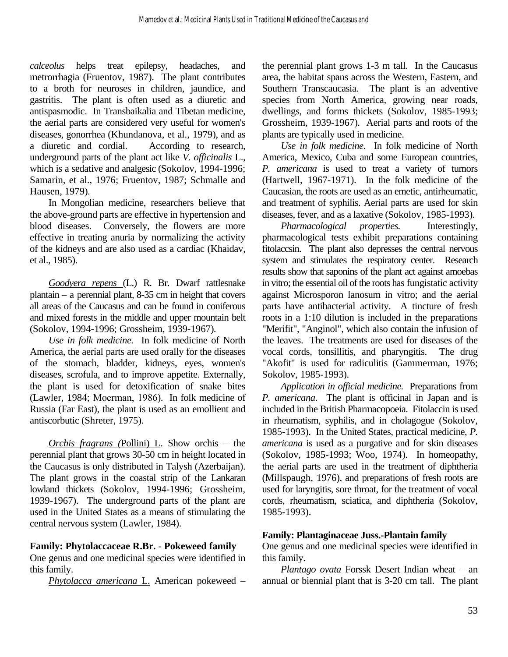*calceolus* helps treat epilepsy, headaches, and metrorrhagia (Fruentov, 1987). The plant contributes to a broth for neuroses in children, jaundice, and gastritis. The plant is often used as a diuretic and antispasmodic. In Transbaikalia and Tibetan medicine, the aerial parts are considered very useful for women's diseases, gonorrhea (Khundanova, et al., 1979), and as a diuretic and cordial. According to research, underground parts of the plant act like *V. officinalis* L., which is a sedative and analgesic (Sokolov, 1994-1996; Samarin, et al., 1976; Fruentov, 1987; Schmalle and Hausen, 1979).

 In Mongolian medicine, researchers believe that the above-ground parts are effective in hypertension and blood diseases. Conversely, the flowers are more effective in treating anuria by normalizing the activity of the kidneys and are also used as a cardiac (Khaidav, et al., 1985).

*Goodyera repens* (L.) R. Br. Dwarf rattlesnake plantain – a perennial plant, 8-35 cm in height that covers all areas of the Caucasus and can be found in coniferous and mixed forests in the middle and upper mountain belt (Sokolov, 1994-1996; Grossheim, 1939-1967).

*Use in folk medicine.* In folk medicine of North America, the aerial parts are used orally for the diseases of the stomach, bladder, kidneys, eyes, women's diseases, scrofula, and to improve appetite. Externally, the plant is used for detoxification of snake bites (Lawler, 1984; Мoerman, 1986). In folk medicine of Russia (Far East), the plant is used as an emollient and antiscorbutic (Shreter, 1975).

*Orchis fragrans (*Pollini) L. Show orchis – the perennial plant that grows 30-50 cm in height located in the Caucasus is only distributed in Talysh (Azerbaijan). The plant grows in the coastal strip of the Lankaran lowland thickets (Sokolov, 1994-1996; Grossheim, 1939-1967). The underground parts of the plant are used in the United States as a means of stimulating the central nervous system (Lawler, 1984).

#### **Family: Phytolaccaceae R.Br.** - **Pokeweed family**

One genus and one medicinal species were identified in this family.

*Phytolacca americana* L. American pokeweed –

the perennial plant grows 1-3 m tall. In the Caucasus area, the habitat spans across the Western, Eastern, and Southern Transcaucasia. The plant is an adventive species from North America, growing near roads, dwellings, and forms thickets (Sokolov, 1985-1993; Grossheim, 1939-1967). Aerial parts and roots of the plants are typically used in medicine.

*Use in folk medicine*. In folk medicine of North America, Mexico, Cuba and some European countries, *P. americana* is used to treat a variety of tumors (Hartwell, 1967-1971). In the folk medicine of the Caucasian, the roots are used as an emetic, antirheumatic, and treatment of syphilis. Aerial parts are used for skin diseases, fever, and as a laxative (Sokolov, 1985-1993).

 *Pharmacological properties.* Interestingly, pharmacological tests exhibit preparations containing fitolaccsin. The plant also depresses the central nervous system and stimulates the respiratory center. Research results show that saponins of the plant act against amoebas in vitro; the essential oil of the roots has fungistatic activity against Microsporon lanosum in vitro; and the aerial parts have antibacterial activity. A tincture of fresh roots in a 1:10 dilution is included in the preparations "Merifit", "Anginol", which also contain the infusion of the leaves. The treatments are used for diseases of the vocal cords, tonsillitis, and pharyngitis. The drug "Akofit" is used for radiculitis (Gammerman, 1976; Sokolov, 1985-1993).

 *Application in official medicine.* Preparations from *P. americana*. The plant is officinal in Japan and is included in the British Pharmacopoeia. Fitolaccin is used in rheumatism, syphilis, and in cholagogue (Sokolov, 1985-1993). In the United States, practical medicine, *P. americana* is used as a purgative and for skin diseases (Sokolov, 1985-1993; Woo, 1974). In homeopathy, the aerial parts are used in the treatment of diphtheria (Millspaugh, 1976), and preparations of fresh roots are used for laryngitis, sore throat, for the treatment of vocal cords, rheumatism, sciatica, and diphtheria (Sokolov, 1985-1993).

#### **Family: Plantaginaceae Juss.-Plantain family**

One genus and one medicinal species were identified in this family.

 *Plantago ovata* Forssk Desert Indian wheat – an annual or biennial plant that is 3-20 cm tall. The plant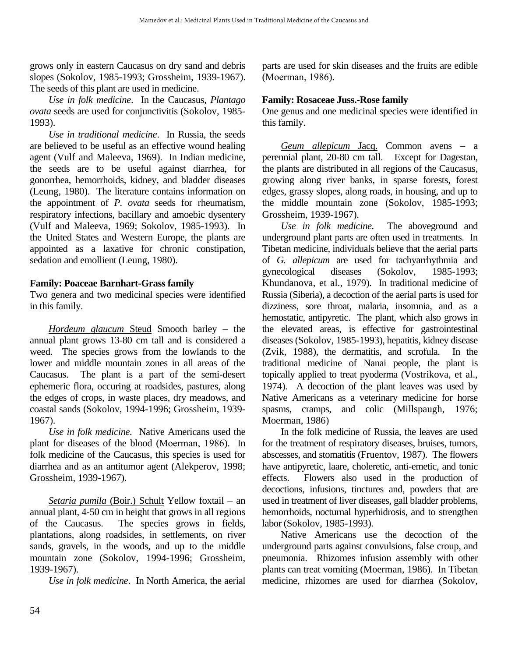grows only in eastern Caucasus on dry sand and debris slopes (Sokolov, 1985-1993; Grossheim, 1939-1967). The seeds of this plant are used in medicine.

*Use in folk medicine*. In the Caucasus, *Plantago ovata* seeds are used for conjunctivitis (Sokolov, 1985- 1993).

*Use in traditional medicine*. In Russia, the seeds are believed to be useful as an effective wound healing agent (Vulf and Maleeva, 1969). In Indian medicine, the seeds are to be useful against diarrhea, for gonorrhea, hemorrhoids, kidney, and bladder diseases (Leung, 1980). The literature contains information on the appointment of *P. ovata* seeds for rheumatism, respiratory infections, bacillary and amoebic dysentery (Vulf and Maleeva, 1969; Sokolov, 1985-1993). In the United States and Western Europe, the plants are appointed as a laxative for chronic constipation, sedation and emollient (Leung, 1980).

#### **Family: Poaceae Barnhart-Grass family**

Two genera and two medicinal species were identified in this family.

*Hordeum glaucum* Steud Smooth barley – the annual plant grows 13-80 cm tall and is considered a weed. The species grows from the lowlands to the lower and middle mountain zones in all areas of the Caucasus. The plant is a part of the semi-desert ephemeric flora, occuring at roadsides, pastures, along the edges of crops, in waste places, dry meadows, and coastal sands (Sokolov, 1994-1996; Grossheim, 1939- 1967).

*Use in folk medicine.* Native Americans used the plant for diseases of the blood (Мoerman, 1986). In folk medicine of the Caucasus, this species is used for diarrhea and as an antitumor agent (Alekperov, 1998; Grossheim, 1939-1967).

 *Setaria pumila* (Boir.) Schult Yellow foxtail – an annual plant, 4-50 cm in height that grows in all regions of the Caucasus. The species grows in fields, plantations, along roadsides, in settlements, on river sands, gravels, in the woods, and up to the middle mountain zone (Sokolov, 1994-1996; Grossheim, 1939-1967).

*Use in folk medicine*. In North America, the aerial

parts are used for skin diseases and the fruits are edible (Мoerman, 1986).

#### **Family: Rosaceae Juss.-Rose family**

One genus and one medicinal species were identified in this family.

*Geum allepicum* Jacq. Common avens – a perennial plant, 20-80 cm tall. Except for Dagestan, the plants are distributed in all regions of the Caucasus, growing along river banks, in sparse forests, forest edges, grassy slopes, along roads, in housing, and up to the middle mountain zone (Sokolov, 1985-1993; Grossheim, 1939-1967).

*Use in folk medicine.* The aboveground and underground plant parts are often used in treatments. In Tibetan medicine, individuals believe that the aerial parts of *G. allepicum* are used for tachyarrhythmia and gynecological diseases (Sokolov, 1985-1993; Khundanova, et al., 1979). In traditional medicine of Russia (Siberia), a decoction of the aerial parts is used for dizziness, sore throat, malaria, insomnia, and as a hemostatic, antipyretic. The plant, which also grows in the elevated areas, is effective for gastrointestinal diseases (Sokolov, 1985-1993), hepatitis, kidney disease (Zvik, 1988), the dermatitis, and scrofula. In the traditional medicine of Nanai people, the plant is topically applied to treat pyoderma (Vostrikova, et al., 1974). A decoction of the plant leaves was used by Native Americans as a veterinary medicine for horse spasms, cramps, and colic (Millspaugh, 1976; Moerman, 1986)

 In the folk medicine of Russia, the leaves are used for the treatment of respiratory diseases, bruises, tumors, abscesses, and stomatitis (Fruentov, 1987). The flowers have antipyretic, laare, choleretic, anti-emetic, and tonic effects. Flowers also used in the production of decoctions, infusions, tinctures and, powders that are used in treatment of liver diseases, gall bladder problems, hemorrhoids, nocturnal hyperhidrosis, and to strengthen labor (Sokolov, 1985-1993).

 Native Americans use the decoction of the underground parts against convulsions, false croup, and pneumonia. Rhizomes infusion assembly with other plants can treat vomiting (Moerman, 1986). In Tibetan medicine, rhizomes are used for diarrhea (Sokolov,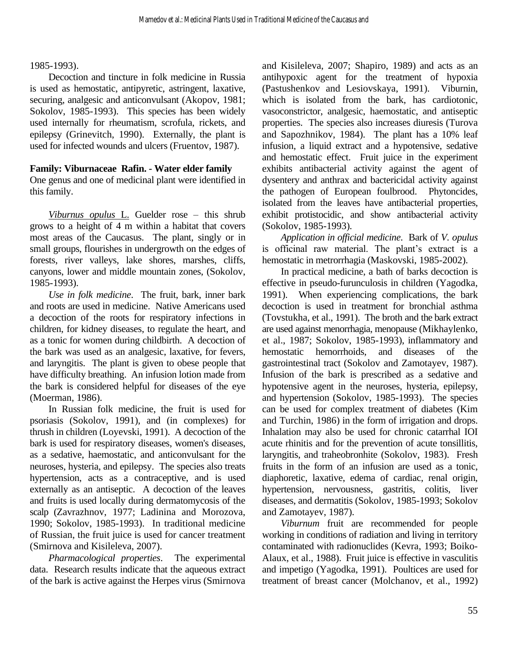#### 1985-1993).

 Decoction and tincture in folk medicine in Russia is used as hemostatic, antipyretic, astringent, laxative, securing, analgesic and anticonvulsant (Akopov, 1981; Sokolov, 1985-1993). This species has been widely used internally for rheumatism, scrofula, rickets, and epilepsy (Grinevitch, 1990). Externally, the plant is used for infected wounds and ulcers (Fruentov, 1987).

#### **Family: Viburnaceae Rafin. - Water elder family**

One genus and one of medicinal plant were identified in this family.

*Viburnus opulus* L. Guelder rose – this shrub grows to a height of 4 m within a habitat that covers most areas of the Caucasus. The plant, singly or in small groups, flourishes in undergrowth on the edges of forests, river valleys, lake shores, marshes, cliffs, canyons, lower and middle mountain zones, (Sokolov, 1985-1993).

*Use in folk medicine*. The fruit, bark, inner bark and roots are used in medicine. Native Americans used a decoction of the roots for respiratory infections in children, for kidney diseases, to regulate the heart, and as a tonic for women during childbirth. A decoction of the bark was used as an analgesic, laxative, for fevers, and laryngitis. The plant is given to obese people that have difficulty breathing. An infusion lotion made from the bark is considered helpful for diseases of the eye (Moerman, 1986).

 In Russian folk medicine, the fruit is used for psoriasis (Sokolov, 1991), and (in complexes) for thrush in children (Loyevski, 1991). A decoction of the bark is used for respiratory diseases, women's diseases, as a sedative, haemostatic, and anticonvulsant for the neuroses, hysteria, and epilepsy. The species also treats hypertension, acts as a contraceptive, and is used externally as an antiseptic. A decoction of the leaves and fruits is used locally during dermatomycosis of the scalp (Zavrazhnov, 1977; Ladinina and Morozova, 1990; Sokolov, 1985-1993). In traditional medicine of Russian, the fruit juice is used for cancer treatment (Smirnova and Kisileleva, 2007).

 *Pharmacological properties*. The experimental data. Research results indicate that the aqueous extract of the bark is active against the Herpes virus (Smirnova and Kisileleva, 2007; Shapiro, 1989) and acts as an antihypoxic agent for the treatment of hypoxia (Pastushenkov and Lesiovskaya, 1991). Viburnin, which is isolated from the bark, has cardiotonic, vasoconstrictor, analgesic, haemostatic, and antiseptic properties. The species also increases diuresis (Turova and Sapozhnikov, 1984). The plant has a 10% leaf infusion, a liquid extract and a hypotensive, sedative and hemostatic effect. Fruit juice in the experiment exhibits antibacterial activity against the agent of dysentery and anthrax and bactericidal activity against the pathogen of European foulbrood. Phytoncides, isolated from the leaves have antibacterial properties, exhibit protistocidic, and show antibacterial activity (Sokolov, 1985-1993).

*Application in official medicine*. Bark of *V. opulus* is officinal raw material. The plant's extract is a hemostatic in metrorrhagia (Maskovski, 1985-2002).

 In practical medicine, a bath of barks decoction is effective in pseudo-furunculosis in children (Yagodka, 1991). When experiencing complications, the bark decoction is used in treatment for bronchial asthma (Tovstukha, et al., 1991). The broth and the bark extract are used against menorrhagia, menopause (Mikhaylenko, et al., 1987; Sokolov, 1985-1993), inflammatory and hemostatic hemorrhoids, and diseases of the gastrointestinal tract (Sokolov and Zamotayev, 1987). Infusion of the bark is prescribed as a sedative and hypotensive agent in the neuroses, hysteria, epilepsy, and hypertension (Sokolov, 1985-1993). The species can be used for complex treatment of diabetes (Kim and Turchin, 1986) in the form of irrigation and drops. Inhalation may also be used for chronic catarrhal IOI acute rhinitis and for the prevention of acute tonsillitis, laryngitis, and traheobronhite (Sokolov, 1983). Fresh fruits in the form of an infusion are used as a tonic, diaphoretic, laxative, edema of cardiac, renal origin, hypertension, nervousness, gastritis, colitis, liver diseases, and dermatitis (Sokolov, 1985-1993; Sokolov and Zamotayev, 1987).

*Viburnum* fruit are recommended for people working in conditions of radiation and living in territory contaminated with radionuclides (Kevra, 1993; Boiko-Alaux, et al., 1988). Fruit juice is effective in vasculitis and impetigo (Yagodka, 1991). Poultices are used for treatment of breast cancer (Molchanov, et al., 1992)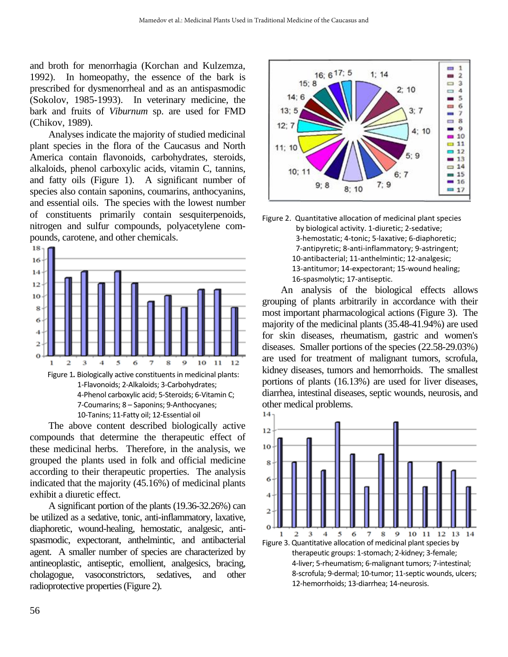and broth for menorrhagia (Korchan and Kulzemza, 1992). In homeopathy, the essence of the bark is prescribed for dysmenorrheal and as an antispasmodic (Sokolov, 1985-1993). In veterinary medicine, the bark and fruits of *Viburnum* sp. are used for FMD (Chikov, 1989).

 Analyses indicate the majority of studied medicinal plant species in the flora of the Caucasus and North America contain flavonoids, carbohydrates, steroids, alkaloids, phenol carboxylic acids, vitamin C, tannins, and fatty oils (Figure 1). A significant number of species also contain saponins, coumarins, anthocyanins, and essential oils. The species with the lowest number of constituents primarily contain sesquiterpenoids, nitrogen and sulfur compounds, polyacetylene compounds, carotene, and other chemicals.



 The above content described biologically active compounds that determine the therapeutic effect of these medicinal herbs. Therefore, in the analysis, we grouped the plants used in folk and official medicine according to their therapeutic properties. The analysis indicated that the majority (45.16%) of medicinal plants exhibit a diuretic effect.

 A significant portion of the plants (19.36-32.26%) can be utilized as a sedative, tonic, anti-inflammatory, laxative, diaphoretic, wound-healing, hemostatic, analgesic, antispasmodic, expectorant, anthelmintic, and antibacterial agent. A smaller number of species are characterized by antineoplastic, antiseptic, emollient, analgesics, bracing, cholagogue, vasoconstrictors, sedatives, and other radioprotective properties (Figure 2).





 An analysis of the biological effects allows grouping of plants arbitrarily in accordance with their most important pharmacological actions (Figure 3). The majority of the medicinal plants (35.48-41.94%) are used for skin diseases, rheumatism, gastric and women's diseases. Smaller portions of the species (22.58-29.03%) are used for treatment of malignant tumors, scrofula, kidney diseases, tumors and hemorrhoids. The smallest portions of plants (16.13%) are used for liver diseases, diarrhea, intestinal diseases, septic wounds, neurosis, and other medical problems.

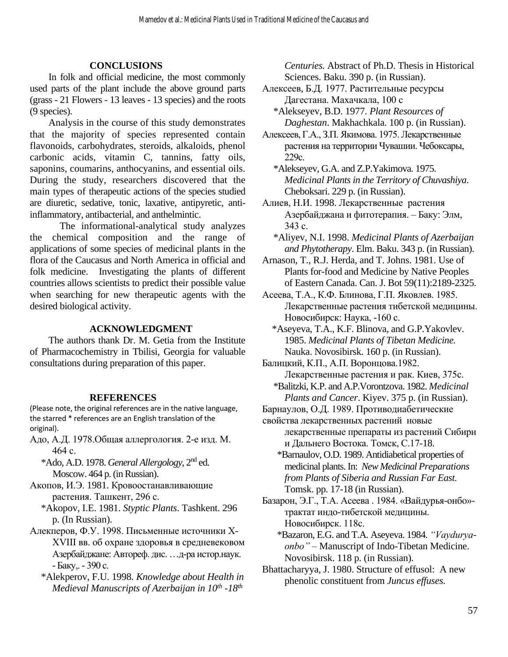#### **CONCLUSIONS**

 In folk and official medicine, the most commonly used parts of the plant include the above ground parts (grass - 21 Flowers - 13 leaves - 13 species) and the roots (9 species).

 Analysis in the course of this study demonstrates that the majority of species represented contain flavonoids, carbohydrates, steroids, alkaloids, phenol carbonic acids, vitamin C, tannins, fatty oils, saponins, coumarins, anthocyanins, and essential oils. During the study, researchers discovered that the main types of therapeutic actions of the species studied are diuretic, sedative, tonic, laxative, antipyretic, antiinflammatory, antibacterial, and anthelmintic.

 The informational-analytical study analyzes the chemical composition and the range of applications of some species of medicinal plants in the flora of the Caucasus and North America in official and folk medicine. Investigating the plants of different countries allows scientists to predict their possible value when searching for new therapeutic agents with the desired biological activity.

#### **ACKNOWLEDGMENT**

 The authors thank Dr. M. Getia from the Institute of Pharmacochemistry in Tbilisi, Georgia for valuable consultations during preparation of this paper.

#### **REFERENCES**

(Please note, the original references are in the native language, the starred \* references are an English translation of the original).

Адо, А.Д. 1978.Общая аллергология. 2-е изд. М. 464 с.

\*Ado, A.D. 1978. *General Allergology*, 2nd ed. Moscow. 464 p. (in Russian).

Акопов, И.Э. 1981. Кровоостанавливающие растения. Ташкент, 296 с.

- \*Akopov, I.E. 1981. *Styptic Plants*. Tashkent. 296 p. (In Russian).
- Алекперов, Ф.У. 1998. Письменные источники X-XVIII вв. об охране здоровья в средневековом Азербайджане: Автореф. дис. …д-ра истор.наук. - Баку,. - 390 с.

\*Alekperov, F.U. 1998. *Knowledge about Health in Medieval Manuscripts of Azerbaijan in 10th -18th*

*Centuries.* Abstract of Ph.D. Thesis in Historical Sciences. Baku. 390 p. (in Russian).

- Алексеев, Б.Д. 1977. Растительные ресурсы Дагестана. Махачкала, 100 с
	- \*Alekseyev, B.D. 1977. *Plant Resources of Daghestan*. Makhachkala. 100 p. (in Russian).
- Алексеев, Г.А., З.П. Якимова. 1975. Лекарственные растения на территории Чувашии. Чебоксары, 229с.

\*Alekseyev, G.A. and Z.P.Yakimova. 1975. *Medicinal Plants in the Territory of Chuvashiya*. Cheboksari. 229 p. (in Russian).

Алиев, Н.И. 1998. Лекарственные растения Азербайджана и фитотерапия. – Баку: Элм, 343 с.

- \*Aliyev, N.I. 1998. *Medicinal Plants of Azerbaijan and Phytotherapy*. Elm. Baku. 343 p. (in Russian).
- Arnason, T., R.J. Herda, and T. Johns. 1981. Use of Plants for-food and Medicine by Native Peoples of Eastern Canada. Can. J. Bot 59(11):2189-2325.
- Асеева, Т.А., К.Ф. Блинова, Г.П. Яковлев. 1985. Лекарственные растения тибетской медицины. Новосибирск: Наука, -160 с.
	- \*Aseyeva, T.A., K.F. Blinova, and G.P.Yakovlev. 1985. *Medicinal Plants of Tibetan Medicine.*  Nauka. Novosibirsk. 160 p. (in Russian).

Балицкий, К.П., А.П. Воронцова.1982. Лекарственные растения и рак. Киев, 375с.

- \*Balitzki, K.P. and A.P.Vorontzova. 1982. *Medicinal Plants and Cancer*. Kiyev. 375 p. (in Russian).
- Барнаулов, О.Д. 1989. Противодиабетические

свойства лекарственных растений новые лекарственные препараты из растений Сибири и Дальнего Востока. Томск, С.17-18.

- \*Barnaulov, O.D. 1989. Antidiabetical properties of medicinal plants. In: *New Medicinal Preparations from Plants of Siberia and Russian Far East.* Tomsk. pp. 17-18 (in Russian).
- Базарон, Э.Г., Т.А. Асеева . 1984. «Вайдурья-онбо» трактат индо-тибетской медицины. Новосибирск. 118с.
	- \*Bazaron, E.G. and T.A. Aseyeva. 1984. *"Vayduryaonbo"* – Manuscript of Indo-Tibetan Medicine. Novosibirsk. 118 p. (in Russian).
- Bhattacharyya, J. 1980. Structure of effusol: A new phenolic constituent from *Juncus effuses.*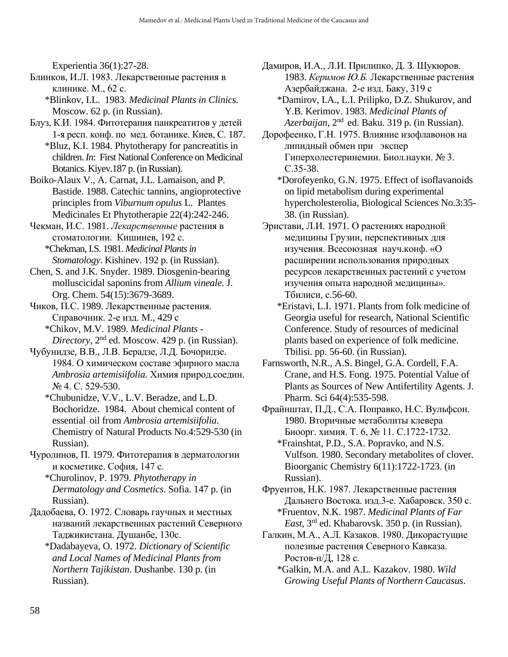Experientia 36(1):27-28.

- Блинков, И.Л. 1983. Лекарственные растения в клинике. М., 62 с.
	- \*Blinkov, I.L. 1983. *Medicinal Plants in Clinics.* Moscow. 62 p. (in Russian).
- Блуз, К.И. 1984. Фитотерапия панкреатитов у детей 1-я респ. конф. по мед. ботанике. Киев, С. 187. \*Bluz, K.I. 1984. Phytotherapy for pancreatitis in
	- children. *In*: First National Conference on Medicinal Botanics. Kiyev.187 p. (in Russian).
- Boiko-Alaux V., A. Carnat, J.L. Lamaison, and P. Bastide. 1988. Catechic tannins, angioprotective principles from *Viburnum opulus* L. Plantes Medicinales Et Phytotherapie 22(4):242-246.
- Чекман, И.С. 1981. *Лекарственные* растения в стоматологии. Кишинев, 192 с. \*Chekman, I.S. 1981. *Medicinal Plants in Stomatology*. Kishinev. 192 p. (in Russian).
- Chen, S. and J.K. Snyder. 1989. Diosgenin-bearing molluscicidal saponins from *Allium vineale*. J. Org. Chem. 54(15):3679-3689.
- Чиков, П.С. 1989. Лекарственные растения. Справочник. 2-е изд. М., 429 с \*Chikov, M.V. 1989. *Medicinal Plants - Directory*, 2nd ed. Moscow. 429 p. (in Russian).
- Чубунидзе, В.В., Л.В. Берадзе, Л.Д. Бочоридзе. 1984. О химическом составе эфирного масла *Ambrosia artemisiifolia.* Химия природ.соедин. № 4. С. 529-530.
	- \*Chubunidze, V.V., L.V. Beradze, and L.D. Bochoridze. 1984. About chemical content of essential oil from *Ambrosia artemisiifolia*. Chemistry of Natural Products No.4:529-530 (in Russian).
- Чуролинов, П. 1979. Фитотерапия в дерматологии и косметике. София, 147 с.
	- \*Churolinov, P. 1979. *Phytotherapy in Dermatology and Cosmetics*. Sofia. 147 p. (in Russian).
- Дадобаева, О. 1972. Словарь гаучных и местных названий лекарственных растений Северного Таджикистана. Душанбе, 130с.
	- \*Dadabayeva, O. 1972. *Dictionary of Scientific and Local Names of Medicinal Plants from Northern Tajikistan*. Dushanbe. 130 p. (in Russian).
- Дамиров, И.А., Л.И. Прилипко, Д. З. Шукюров. 1983. *Керимов Ю.Б.* Лекарственные растения Азербайджана. 2-е изд. Баку, 319 с
	- \*Damirov, I.A., L.I. Prilipko, D.Z. Shukurov, and Y.B. Kerimov. 1983. *Medicinal Plants of Azerbaijan*, 2nd ed. Baku. 319 p. (in Russian).
- Дорофеенко, Г.Н. 1975. Влияние изофлавонов на липидный обмен при экспер Гиперхолестеринемии. Биол.науки. № 3. С.35-38.
	- \*Dorofeyenko, G.N. 1975. Effect of isoflavanoids on lipid metabolism during experimental hypercholesterolia, Biological Sciences No.3:35- 38. (in Russian).
- Эристави, Л.И. 1971. О растениях народной медицины Грузии, перспективных для изучения. Всесоюзная науч.конф. «О расширении использования природных ресурсов лекарственных растений с учетом изучения опыта народной медицины». Тбилиси, с.56-60.
	- \*Eristavi, L.I. 1971. Plants from folk medicine of Georgia useful for research, National Scientific Conference. Study of resources of medicinal plants based on experience of folk medicine. Tbilisi. pp. 56-60. (in Russian).
- Farnsworth, N.R., A.S. Bingel, G.A. Cordell, F.A. Crane, and H.S. Fong. 1975. Potential Value of Plants as Sources of New Antifertility Agents. J. Pharm. Sci 64(4):535-598.
- Фрайнштат, П.Д., С.А. Поправко, Н.С. Вульфсон. 1980. Вторичные метаболиты клевера Биоорг. химия. Т. 6, № 11. С.1722-1732.
	- \*Frainshtat, P.D., S.A. Popravko, and N.S. Vulfson. 1980. Secondary metabolites of clover. Bioorganic Chemistry 6(11):1722-1723. (in Russian).
- Фруентов, Н.К. 1987. Лекарственные растения Дальнего Востока. изд.3-е. Хабаровск. 350 с. \*Fruentov, N.K. 1987. *Medicinal Plants of Far East*, 3rd ed. Khabarovsk. 350 p. (in Russian).
- Галкин, М.А., А.Л. Казаков. 1980. Дикорастущие полезные растения Северного Кавказа. Ростов-н/Д, 128 с.
	- \*Galkin, M.A. and A.L. Kazakov. 1980. *Wild Growing Useful Plants of Northern Caucasus*.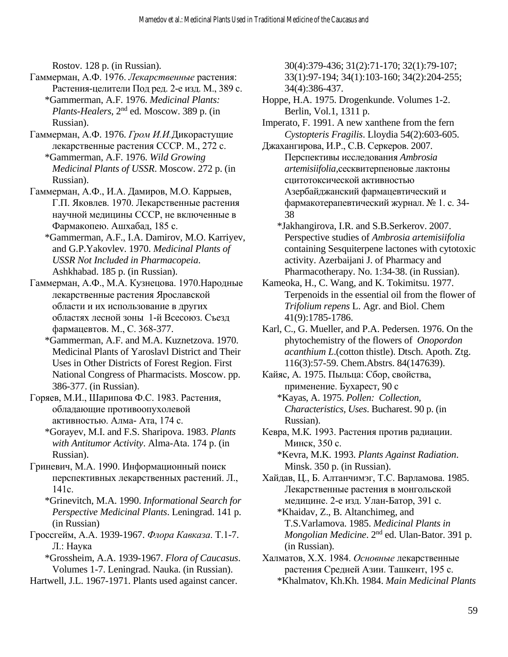Rostov. 128 p. (in Russian).

- Гаммерман, А.Ф. 1976. *Лекарственные* растения: Растения-целители Под ред. 2-е изд. М., 389 с. \*Gammerman, A.F. 1976. *Medicinal Plants: Plants-Healers*, 2nd ed. Moscow. 389 p. (in Russian).
- Гаммерман, А.Ф. 1976. *Гром И.И.*Дикорастущие лекарственные растения СССР. М., 272 с. \*Gammerman, A.F. 1976. *Wild Growing Medicinal Plants of USSR*. Moscow. 272 p. (in Russian).
- Гаммерман, А.Ф., И.А. Дамиров, М.О. Каррыев, Г.П. Яковлев. 1970. Лекарственные растения научной медицины СССР, не включенные в Фармакопею. Ашхабад, 185 с.
	- \*Gammerman, A.F., I.A. Damirov, M.O. Karriyev, and G.P.Yakovlev. 1970. *Medicinal Plants of USSR Not Included in Pharmacopeia*. Ashkhabad. 185 p. (in Russian).
- Гаммерман, А.Ф., М.А. Кузнецова. 1970.Народные лекарственные растения Ярославской области и их использование в других областях лесной зоны 1-й Всесоюз. Съезд фармацевтов. М., С. 368-377.
	- \*Gammerman, A.F. and M.A. Kuznetzova. 1970. Medicinal Plants of Yaroslavl District and Their Uses in Other Districts of Forest Region. First National Congress of Pharmacists. Moscow. pp. 386-377. (in Russian).
- Горяев, М.И., Шарипова Ф.С. 1983. Растения, обладающие противоопухолевой активностью. Алма- Ата, 174 с.
	- \*Gorayev, M.I. and F.S. Sharipova. 1983. *Plants with Antitumor Activity*. Alma-Ata. 174 p. (in Russian).
- Гриневич, М.А. 1990. Информационный поиск перспективных лекарственных растений. Л., 141с.
	- \*Grinevitch, M.A. 1990. *Informational Search for Perspective Medicinal Plants*. Leningrad. 141 p. (in Russian)
- Гроссгейм, А.А. 1939-1967. *Флора Кавказа*. Т.1-7. Л.: Наука
	- \*Grossheim, A.A. 1939-1967. *Flora of Caucasus*. Volumes 1-7. Leningrad. Nauka. (in Russian).
- Hartwell, J.L. 1967-1971. Plants used against cancer.

30(4):379-436; 31(2):71-170; 32(1):79-107; 33(1):97-194; 34(1):103-160; 34(2):204-255; 34(4):386-437.

- Hoppe, H.A. 1975. Drogenkunde. Volumes 1-2. Berlin, Vol.1, 1311 p.
- Imperato, F. 1991. A new xanthene from the fern *Cystopteris Fragilis*. Lloydia 54(2):603-605.
- Джахангирова, И.Р., С.В. Серкеров. 2007. Перспективы исследования *Ambrosia artemisiifolia,*сесквитерпеновые лактоны сцитотоксической активностью Азербайджанский фармацевтический и фармакотерапевтический журнал. № 1. с. 34- 38
	- \*Jakhangirova, I.R. and S.B.Serkerov. 2007. Perspective studies of *Ambrosia artemisiifolia* containing Sesquiterpene lactones with cytotoxic activity. Azerbaijani J. of Pharmacy and Pharmacotherapy. No. 1:34-38. (in Russian).
- Kameoka, H., C. Wang, and K. Tokimitsu. 1977. Terpenoids in the essential oil from the flower of *Trifolium repens* L. Agr. and Biol. Chem 41(9):1785-1786.
- Karl, C., G. Mueller, and P.A. Pedersen. 1976. On the phytochemistry of the flowers of *Onopordon acanthium L*.(cotton thistle). Dtsch. Apoth. Ztg. 116(3):57-59. Chem.Abstrs. 84(147639).
- Кайяс, А*.* 1975. Пыльца: Сбор, свойства, применение. Бухарест, 90 с \*Kayas, A. 1975. *Pollen: Collection, Characteristics, Uses*. Bucharest. 90 p. (in Russian).
- Кевра, М.К*.* 1993. Растения против радиации. Минск, 350 с.
	- \*Kevra, M.K. 1993. *Plants Against Radiation*. Minsk. 350 p. (in Russian).
- Хайдав, Ц., Б. Алтанчимэг, Т.С. Варламова. 1985. Лекарственные растения в монгольской медицине. 2-е изд. Улан-Батор, 391 с.
	- \*Khaidav, Z., B. Altanchimeg, and T.S.Varlamova. 1985. *Medicinal Plants in Mongolian Medicine*. 2nd ed. Ulan-Bator. 391 p. (in Russian).
- Халматов, Х.Х. 1984. *Основные* лекарственные растения Средней Азии. Ташкент, 195 с. \*Khalmatov, Kh.Kh. 1984. *Main Medicinal Plants*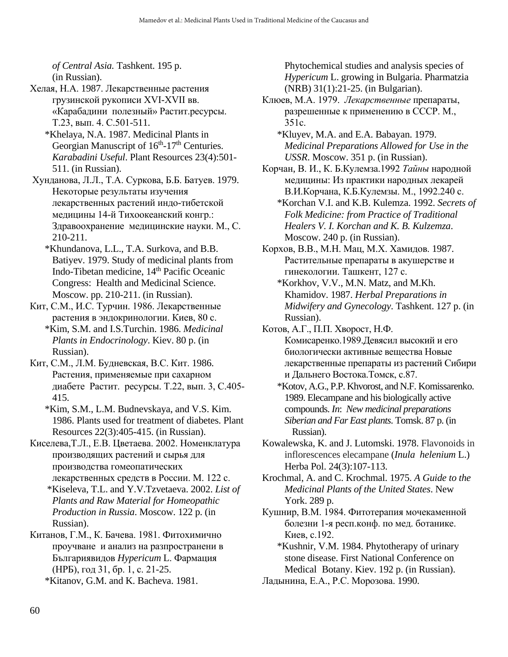*of Central Asia.* Tashkent. 195 p. (in Russian).

- Хелая, Н.А. 1987. Лекарственные растения грузинской рукописи XVI-XVII вв. «Карабадини полезный» Растит.ресурсы. Т.23, вып. 4. С.501-511.
	- \*Khelaya, N.A. 1987. Medicinal Plants in Georgian Manuscript of 16<sup>th</sup>-17<sup>th</sup> Centuries. *Karabadini Useful*. Plant Resources 23(4):501- 511. (in Russian).
- Хунданова, Л.Л., Т.А. Суркова, Б.Б. Батуев. 1979. Некоторые результаты изучения лекарственных растений индо-тибетской медицины 14-й Тихоокеанский конгр.: Здравоохранение медицинские науки. М., С. 210-211.
	- \*Khundanova, L.L., T.A. Surkova, and B.B. Batiyev. 1979. Study of medicinal plants from Indo-Tibetan medicine, 14th Pacific Oceanic Congress: Health and Medicinal Science. Moscow. pp. 210-211. (in Russian).
- Кит, С.М., И.С. Турчин. 1986. Лекарственные растения в эндокринологии. Киев, 80 с. \*Kim, S.M. and I.S.Turchin. 1986. *Medicinal Plants in Endocrinology*. Kiev. 80 p. (in Russian).
- Кит, С.М., Л.М. Будневская, В.С. Кит. 1986. Растения, применяемые при сахарном диабете Растит. ресурсы. Т.22, вып. 3, С.405- 415.
	- \*Kim, S.M., L.M. Budnevskaya, and V.S. Kim. 1986. Plants used for treatment of diabetes. Plant Resources 22(3):405-415. (in Russian).
- Киселева,Т.Л., Е.В. Цветаева. 2002. Номенклатура производящих растений и сырья для производства гомеопатических лекарственных средств в России. М. 122 с.
	- \*Kiseleva, T.L. and Y.V.Tzvetaeva. 2002. *List of Plants and Raw Material for Homeopathic Production in Russia*. Moscow. 122 p. (in Russian).
- Китанов, Г.М., К. Бачева. 1981. Фитохимично проучване и анализ на разпространени в Българиявидов *Hypericum* L. Фармация (НРБ), год 31, бр. 1, с. 21-25.

\*Kitanov, G.M. and K. Bacheva. 1981.

Phytochemical studies and analysis species of *Hypericum* L. growing in Bulgaria. Pharmatzia (NRB) 31(1):21-25. (in Bulgarian).

- Клюев, М.А. 1979. *Лекарственные* препараты, разрешенные к применению в СССР. М., 351с.
	- \*Kluyev, M.A. and E.A. Babayan. 1979. *Medicinal Preparations Allowed for Use in the USSR*. Moscow. 351 p. (in Russian).
- Корчан, В. И., К. Б.Кулемза.1992 *Тайны* народной медицины: Из практики народных лекарей В.И.Корчана, К.Б.Кулемзы. М., 1992.240 с.
	- \*Korchan V.I. and K.B. Kulemza. 1992. *Secrets of Folk Medicine: from Practice of Traditional Healers V. I. Korchan and K. B. Kulzemza*. Moscow. 240 p. (in Russian).
- Корхов, В.В., М.Н. Мац, М.Х. Хамидов. 1987. Растительные препараты в акушерстве и гинекологии. Ташкент, 127 с.
	- \*Korkhov, V.V., M.N. Matz, and M.Kh. Khamidov. 1987. *Herbal Preparations in Midwifery and Gynecology*. Tashkent. 127 p. (in Russian).
- Котов, А.Г., П.П. Хворост, Н.Ф. Комисаренко.1989.Девясил высокий и его биологически активные вещества Новые лекарственные препараты из растений Сибири и Дальнего Востока.Томск, с.87.
	- \*Kotov, A.G., P.P. Khvorost, and N.F. Komissarenko. 1989. Elecampane and his biologically active compounds. *In*: *New medicinal preparations Siberian and Far East plants*. Tomsk. 87 p. (in Russian).
- Kowalewska, K. and J. Lutomski. 1978. Flavonoids in inflorescences elecampane (*Inula helenium* L.) Herba Pol. 24(3):107-113.
- Krochmal, A. and C. Krochmal. 1975. *A Guide to the Medicinal Plants of the United States*. New York. 289 p.
- Кушнир, В.М. 1984. Фитотерапия мочекаменной болезни 1-я респ.конф. по мед. ботанике. Киев, с.192.
	- \*Kushnir, V.M. 1984. Phytotherapy of urinary stone disease. First National Conference on Medical Botany. Kiev. 192 p. (in Russian).
- Ладынина, Е.А., Р.С. Морозова. 1990.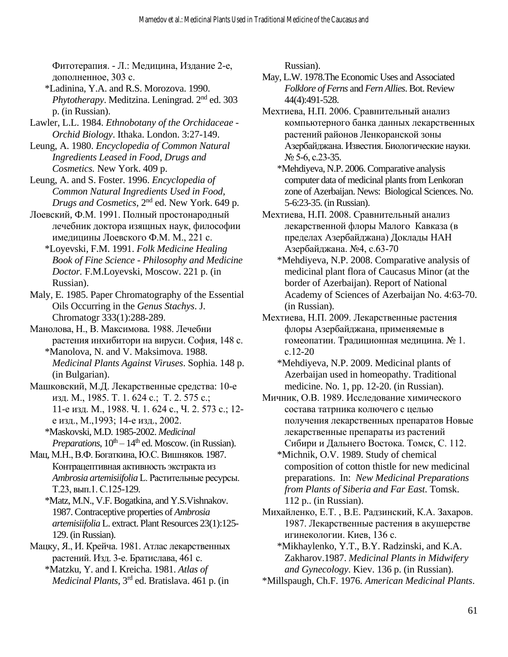Фитотерапия. - Л.: Медицина, Издание 2-е, дополненное, 303 с.

\*Ladinina, Y.A. and R.S. Morozova. 1990. *Phytotherapy*. Meditzina. Leningrad. 2nd ed. 303 p. (in Russian).

Lawler, L.L. 1984. *Ethnobotany of the Orchidaceae - Orchid Biology*. Ithaka. London. 3:27-149.

Leung, A. 1980. *Encyclopedia of Common Natural Ingredients Leased in Food, Drugs and Cosmetics.* New York. 409 p.

Leung, A. and S. Foster. 1996. *Encyclopedia of Common Natural Ingredients Used in Food, Drugs and Cosmetics*, 2nd ed. New York. 649 p.

Лоевский, Ф.М. 1991. Полный простонародный лечебник доктора изящных наук, философии имедицины Лоевского Ф.М. М., 221 с.

\*Loyevski, F.M. 1991. *Folk Medicine Healing Book of Fine Science - Philosophy and Medicine Doctor.* F.M.Loyevski, Moscow. 221 p. (in Russian).

Maly, E. 1985. Paper Chromatography of the Essential Oils Occurring in the *Genus Stachys*. J. Chromatogr 333(1):288-289.

Манолова, Н., В. Максимова*.* 1988. Лечебни растения инхибитори на вируси. София, 148 с.

\*Manolova, N. and V. Maksimova. 1988. *Medicinal Plants Against Viruses*. Sophia. 148 p. (in Bulgarian).

Машковский, М.Д. Лекарственные средства: 10-е изд. М., 1985. Т. 1. 624 с.; Т. 2. 575 с.; 11-е изд. М., 1988. Ч. 1. 624 с., Ч. 2. 573 с.; 12 е изд., М.,1993; 14-е изд., 2002. \*Maskovski, M.D. 1985-2002. *Medicinal* 

*Preparations*,  $10^{th} - 14^{th}$  ed. Moscow. (in Russian). Мац, М.Н., В.Ф. Богаткина, Ю.С. Вишняков*.* 1987.

Контрацептивная активность экстракта из *Ambrosia artemisiifolia* L. Растительные ресурсы. Т.23, вып.1. С.125-129.

\*Matz, M.N., V.F. Bogatkina, and Y.S.Vishnakov. 1987. Contraceptive properties of *Ambrosia artemisiifolia* L. extract. Plant Resources 23(1):125- 129. (in Russian).

Мацку, Я., И. Крейча. 1981. Атлас лекарственных растений. Изд. 3-е. Братислава, 461 с.

\*Matzku, Y. and I. Kreicha. 1981. *Atlas of Medicinal Plants*, 3rd ed. Bratislava. 461 p. (in Russian).

May, L.W. 1978.The Economic Uses and Associated *Folklore of Ferns* and *Fern Allies*. Bot. Review 44(4):491-528.

Мехтиева, Н.П. 2006. Сравнительный анализ компьютерного банка данных лекарственных растений районов Ленкоранской зоны Азербайджана. Известия. Биологические науки. № 5-6, с.23-35.

\*Mehdiyeva, N.P. 2006. Comparative analysis computer data of medicinal plants from Lenkoran zone of Azerbaijan. News: Biological Sciences. No. 5-6:23-35. (in Russian).

Мехтиева, Н.П. 2008. Сравнительный анализ лекарственной флоры Малого Кавказа (в пределах Азербайджана) Доклады НАН Азербайджана. №4, с.63-70

\*Mehdiyeva, N.P. 2008. Comparative analysis of medicinal plant flora of Caucasus Minor (at the border of Azerbaijan). Report of National Academy of Sciences of Azerbaijan No. 4:63-70. (in Russian).

Мехтиева, Н.П. 2009. Лекарственные растения флоры Азербайджана, применяемые в гомеопатии. Традиционная медицина. № 1. с.12-20

\*Mehdiyeva, N.P. 2009. Medicinal plants of Azerbaijan used in homeopathy. Traditional medicine. No. 1, pp. 12-20. (in Russian).

Мичник, О.В. 1989. Исследование химического состава татрника колючего с целью получения лекарственных препаратов Новые лекарственные препараты из растений Сибири и Дальнего Востока. Томск, С. 112.

\*Michnik, O.V. 1989. Study of chemical composition of cotton thistle for new medicinal preparations. In: *New Medicinal Preparations from Plants of Siberia and Far East*. Tomsk. 112 p.. (in Russian).

Михайленко, Е.Т. , В.Е. Радзинский, К.А. Захаров. 1987. Лекарственные растения в акушерстве игинекологии. Киев, 136 с.

\*Mikhaylenko, Y.T., B.Y. Radzinski, and K.A. Zakharov.1987. *Medicinal Plants in Midwifery and Gynecology*. Kiev. 136 p. (in Russian).

\*Millspaugh, Ch.F. 1976. *American Medicinal Plants*.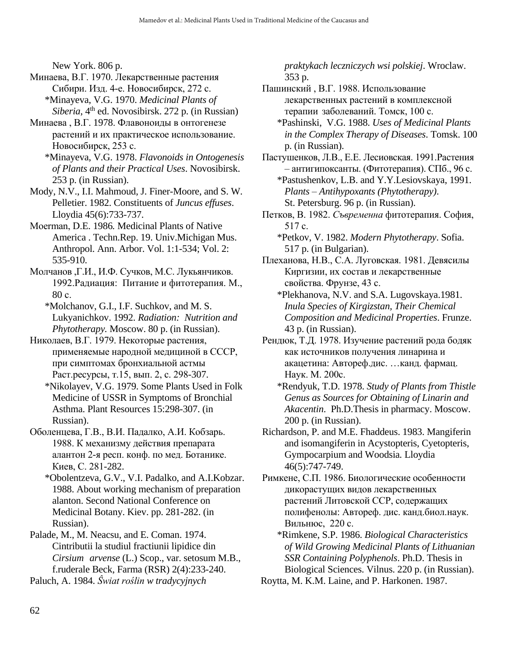New York. 806 p.

- Минаева, В.Г. 1970. Лекарственные растения Сибири. Изд. 4-е. Новосибирск, 272 с. \*Minayeva, V.G. 1970. *Medicinal Plants of*
- *Siberia*, 4th ed. Novosibirsk. 272 p. (in Russian) Минаева , В.Г. 1978. Флавоноиды в онтогенезе растений и их практическое использование. Новосибирск, 253 с.
	- \*Minayeva, V.G. 1978. *Flavonoids in Ontogenesis of Plants and their Practical Uses*. Novosibirsk. 253 p. (in Russian).
- Mody, N.V., I.I. Mahmoud, J. Finer-Moore, and S. W. Pelletier. 1982. Constituents of *Juncus effuses*. Lloydia 45(6):733-737.
- Мoerman, D.E. 1986*.* Medicinal Plants of Native America . Techn.Rep. 19. Univ.Michigan Mus. Anthropol. Ann. Arbor. Vol. 1:1-534; Vol. 2: 535-910.
- Молчанов ,Г.И., И.Ф. Сучков, М.С. Лукьянчиков. 1992.Радиация: Питание и фитотерапия. М., 80 с.
	- \*Molchanov, G.I., I.F. Suchkov, and M. S. Lukyanichkov. 1992. *Radiation: Nutrition and Phytotherapy.* Moscow. 80 p. (in Russian).
- Николаев, В.Г. 1979. Некоторые растения, применяемые народной медициной в СССР, при симптомах бронхиальной астмы Раст.ресурсы, т.15, вып. 2, с. 298-307.
	- \*Nikolayev, V.G. 1979. Some Plants Used in Folk Medicine of USSR in Symptoms of Bronchial Asthma. Plant Resources 15:298-307. (in Russian).
- Оболенцева, Г.В., В.И. Падалко, А.И. Кобзарь. 1988. К механизму действия препарата алантон 2-я респ. конф. по мед. Ботанике. Киев, С. 281-282.
	- \*Obolentzeva, G.V., V.I. Padalko, and A.I.Kobzar. 1988. About working mechanism of preparation alanton. Second National Conference on Medicinal Botany. Kiev. pp. 281-282. (in Russian).
- Palade, M., M. Neacsu, and E. Coman. 1974. Cintributii la studiul fractiunii lipidice din *Cirsium arvense* (L.) Scop., var. setosum M.B., f.ruderale Beck, Farma (RSR) 2(4):233-240.
- Paluch, A. 1984. *Ŝwiat roślin w tradycyjnych*

*praktykach leczniczych wsi polskiej*. Wroclaw. 353 p.

- Пашинский , В.Г. 1988. Использование лекарственных растений в комплексной терапии заболеваний. Томск, 100 с.
	- \*Pashinski, V.G. 1988. *Uses of Medicinal Plants in the Complex Therapy of Diseases*. Tomsk. 100 p. (in Russian).
- Пастушенков, Л.В., Е.Е. Лесиовская. 1991.Растения – антигипоксанты. (Фитотерапия). СПб., 96 с.

\*Pastushenkov, L.B. and Y.Y.Lesiovskaya, 1991. *Plants – Antihypoxants (Phytotherapy)*. St. Petersburg. 96 p. (in Russian).

- Петков, В. 1982. *Съвременна* фитотерапия. София, 517 с.
	- \*Petkov, V. 1982. *Modern Phytotherapy*. Sofia. 517 p. (in Bulgarian).
- Плеханова, Н.В., С.А. Луговская. 1981. Девясилы Киргизии, их состав и лекарственные свойства. Фрунзе, 43 с.
	- \*Plekhanova, N.V. and S.A. Lugovskaya.1981. *Inula Species of Kirgizstan, Their Chemical Composition and Medicinal Properties*. Frunze. 43 p. (in Russian).
- Рендюк, Т.Д. 1978. Изучение растений рода бодяк как источников получения линарина и акацетина: Автореф.дис. …канд. фармац. Наук. М. 200с.
	- \*Rendyuk, T.D. 1978. *Study of Plants from Thistle Genus as Sources for Obtaining of Linarin and Akacentin*. Ph.D.Thesis in pharmacy. Moscow. 200 p. (in Russian).
- Richardson, P. and M.E. Fhaddeus. 1983. Mangiferin and isomangiferin in Acystopteris, Cyetopteris, Gympocarpium and Woodsia*.* Lloydia 46(5):747-749.
- Римкене, С.П. 1986. Биологические особенности дикорастущих видов лекарственных растений Литовской ССР, содержащих полифенолы: Автореф. дис. канд.биол.наук. Вильнюс, 220 с.
	- \*Rimkene, S.P. 1986. *Biological Characteristics of Wild Growing Medicinal Plants of Lithuanian SSR Containing Polyphenols*. Ph.D. Thesis in Biological Sciences. Vilnus. 220 p. (in Russian).
- Roytta, M. K.M. Laine, and P. Harkonen. 1987.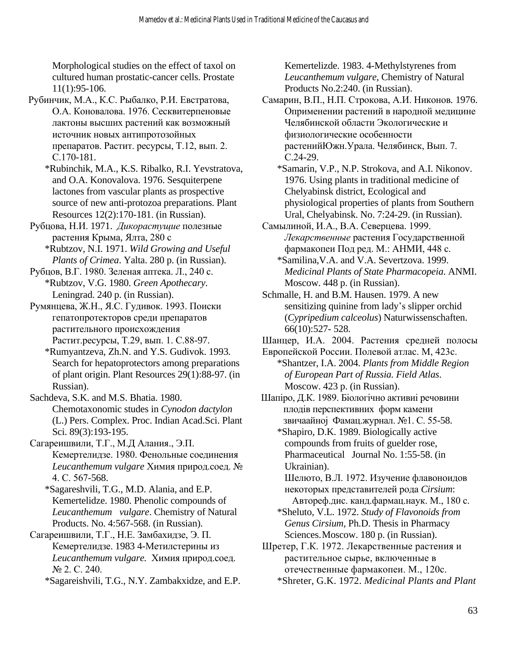Morphological studies on the effect of taxol on cultured human prostatic-cancer cells. Prostate 11(1):95-106.

Рубинчик, М.А., К.С. Рыбалко, Р.И. Евстратова, О.А. Коновалова. 1976. Сесквитерпеновые лактоны высших растений как возможный источник новых антипротозойных препаратов. Растит. ресурсы, Т.12, вып. 2. С.170-181.

\*Rubinchik, M.A., K.S. Ribalko, R.I. Yevstratova, and O.A. Konovalova. 1976. Sesquiterpene lactones from vascular plants as prospective source of new anti-protozoa preparations. Plant Resources 12(2):170-181. (in Russian).

Рубцова, Н.И. 1971. *Дикорастущие* полезные растения Крыма*,* Ялта, 280 с \*Rubtzov, N.I. 1971. *Wild Growing and Useful* 

*Plants of Crimea*. Yalta. 280 p. (in Russian).

Рубцов, В.Г. 1980. Зеленая аптека. Л., 240 с. \*Rubtzov, V.G. 1980. *Green Apothecary*. Leningrad. 240 p. (in Russian).

Румянцева, Ж.Н., Я.С. Гудивок. 1993. Поиски гепатопротекторов среди препаратов растительного происхождения Растит.ресурсы, Т.29, вып. 1. С.88-97.

\*Rumyantzeva, Zh.N. and Y.S. Gudivok. 1993*.*  Search for hepatoprotectors among preparations of plant origin. Plant Resources 29(1):88-97. (in Russian).

Sachdeva, S.K. and M.S. Bhatia. 1980. Chemotaxonomic studes in *Cynodon dactylon* (L.) Pers. Complex. Proc. Indian Acad.Sci. Plant Sci. 89(3):193-195.

Сагареишвили, Т.Г., М.Д Алания., Э.П. Кемертелидзе. 1980. Фенольные соединения *Leucanthemum vulgare* Химия природ.соед. № 4. С. 567-568.

\*Sagareshvili, T.G., M.D. Alania, and E.P. Kemertelidze. 1980. Phenolic compounds of *Leucanthemum vulgare*. Chemistry of Natural Products. No. 4:567-568. (in Russian).

Сагареишвили, Т.Г., Н.Е. Замбахидзе, Э. П. Кемертелидзе. 1983 4-Метилстерины из *Leucanthemum vulgare.* Химия природ.соед. № 2. С. 240.

\*Sagareishvili, T.G., N.Y. Zambakxidze, and E.P.

Kemertelizde. 1983. 4-Methylstyrenes from *Leucanthemum vulgare*, Chemistry of Natural Products No.2:240. (in Russian).

Самарин, В.П., Н.П. Строкова, А.И. Никонов*.* 1976. Оприменении растений в народной медицине Челябинской области Экологические и физиологические особенности растенийЮжн.Урала. Челябинск, Вып. 7. С.24-29.

\*Samarin, V.P., N.P. Strokova, and A.I. Nikonov. 1976. Using plants in traditional medicine of Chelyabinsk district, Ecological and physiological properties of plants from Southern Ural, Chelyabinsk. No. 7:24-29. (in Russian).

Самылиной, И.А., В.А. Северцева. 1999. *Лекарственные* растения Государственной фармакопеи Под ред. М.: АНМИ, 448 с.

\*Samilina,V.A. and V.A. Severtzova. 1999. *Medicinal Plants of State Pharmacopeia*. ANMI. Moscow. 448 p. (in Russian).

Schmalle, H. and B.M. Hausen. 1979. A new sensitizing quinine from lady's slipper orchid (*Cypripedium calceolus*) Naturwissenschaften. 66(10):527- 528.

Шанцер, И.А. 2004. Растения средней полосы

Европейской России. Полевой атлас. М, 423с.

\*Shantzer, I.A. 2004. *Plants from Middle Region of European Part of Russia. Field Atlas*. Moscow. 423 p. (in Russian).

Шапiро, Д.К. 1989. Бiологiчно активиi речовини плодiв перспективних форм камени звичаайноj Фамац.журнал. №1. С. 55-58.

\*Shapiro, D.K. 1989. Biologically active compounds from fruits of guelder rose, Pharmaceutical Journal No. 1:55-58. (in Ukrainian).

 Шелюто, В.Л. 1972. Изучение флавоноидов некоторых представителей рода *Cirsium*: Автореф.дис. канд.фармац.наук. М., 180 с.

\*Sheluto, V.L. 1972. *Study of Flavonoids from Genus Cirsium*, Ph.D. Thesis in Pharmacy Sciences. Moscow. 180 p. (in Russian).

Шретер, Г.К. 1972. Лекарственные растения и растительное сырье, включенные в отечественные фармакопеи. М., 120с. \*Shreter, G.K. 1972. *Medicinal Plants and Plant*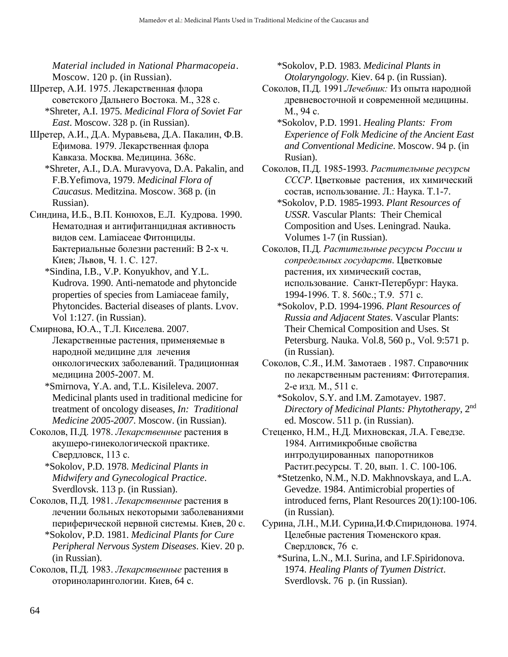*Material included in National Pharmacopeia*. Moscow. 120 p. (in Russian).

- Шретер, А.И. 1975. Лекарственная флора советского Дальнего Востока. М., 328 с. \*Shreter, A.I. 1975. *Medicinal Flora of Soviet Far East*. Moscow. 328 p. (in Russian).
- Шретер, А.И., Д.А. Муравьева, Д.А. Пакалин, Ф.В. Ефимова. 1979. Лекарственная флора Кавказа. Москва. Медицина. 368с.
	- \*Shreter, A.I., D.A. Muravyova, D.A. Pakalin, and F.B.Yefimova, 1979. *Medicinal Flora of Caucasus*. Meditzina. Moscow. 368 p. (in Russian).
- Синдина, И.Б., В.П. Конюхов, Е.Л. Кудрова. 1990. Нематодная и антифитанцидная активность видов сем. Lamiaceae Фитонциды. Бактериальные болезни растений: В 2-х ч. Киев; Львов, Ч. 1. С. 127.
	- \*Sindina, I.B., V.P. Konyukhov, and Y.L. Kudrova. 1990. Anti-nematode and phytoncide properties of species from Lamiaceae family, Phytoncides. Bacterial diseases of plants. Lvov. Vol 1:127. (in Russian).
- Смирнова, Ю.А., Т.Л. Киселева. 2007. Лекарственные растения, применяемые в народной медицине для лечения онкологических заболеваний. Традиционная медицина 2005-2007. М.
	- \*Smirnova, Y.A. and, T.L. Kisileleva. 2007. Medicinal plants used in traditional medicine for treatment of oncology diseases, *In: Traditional Medicine 2005-2007*. Moscow. (in Russian).
- Соколов, П.Д. 1978. *Лекарственные* растения в акушеро-гинекологической практике. Свердловск, 113 с.
	- \*Sokolov, P.D. 1978. *Medicinal Plants in Midwifery and Gynecological Practice*. Sverdlovsk. 113 p. (in Russian).
- Соколов, П.Д. 1981. *Лекарственные* растения в лечении больных некоторыми заболеваниями периферической нервной системы. Киев, 20 с.
	- \*Sokolov, P.D. 1981. *Medicinal Plants for Cure Peripheral Nervous System Diseases*. Kiev. 20 p. (in Russian).
- Соколов, П.Д. 1983. *Лекарственные* растения в оториноларингологии. Киев, 64 с.

\*Sokolov, P.D. 1983. *Medicinal Plants in Otolaryngology*. Kiev. 64 p. (in Russian).

- Соколов, П.Д. 1991.*Лечебник:* Из опыта народной древневосточной и современной медицины. М., 94 с.
	- \*Sokolov, P.D. 1991. *Healing Plants: From Experience of Folk Medicine of the Ancient East and Conventional Medicine*. Moscow. 94 p. (in Rusian).
- Соколов, П.Д. 1985-1993. *Растительные ресурсы СССР*. Цветковые растения, их химический состав, использование. Л.: Наука. Т.1-7.
	- \*Sokolov, P.D. 1985-1993. *Plant Resources of USSR*. Vascular Plants: Their Chemical Composition and Uses. Leningrad. Nauka. Volumes 1-7 (in Russian).
- Соколов, П.Д. *Растительные ресурсы России и сопредельных государств*. Цветковые растения, их химический состав, использование. Санкт-Петербург: Наука. 1994-1996. Т. 8. 560c.; T.9. 571 c.
	- \*Sokolov, P.D. 1994-1996. *Plant Resources of Russia and Adjacent States*. Vascular Plants: Their Chemical Composition and Uses. St Petersburg. Nauka. Vol.8, 560 p., Vol. 9:571 p. (in Russian).
- Соколов, С.Я., И.М. Замотаев . 1987. Справочник по лекарственным растениям: Фитотерапия. 2-е изд. М., 511 с.
	- \*Sokolov, S.Y. and I.M. Zamotayev. 1987. *Directory of Medicinal Plants: Phytotherapy*, 2nd ed. Moscow. 511 p. (in Russian).
- Стеценко, Н.М., Н.Д. Михновская, Л.А. Геведзе. 1984. Антимикробные свойства интродуцированных папоротников Растит.ресурсы. Т. 20, вып. 1. С. 100-106. \*Stetzenko, N.M., N.D. Makhnovskaya, and L.A.
	- Gevedze. 1984. Antimicrobial properties of introduced ferns, Plant Resources 20(1):100-106. (in Russian).
- Сурина, Л.Н., М.И. Сурина,И.Ф.Спиридонова. 1974. Целебные растения Тюменского края. Свердловск, 76 с.
	- \*Surina, L.N., M.I. Surina, and I.F.Spiridonova. 1974. *Healing Plants of Tyumen District*. Sverdlovsk. 76 p. (in Russian).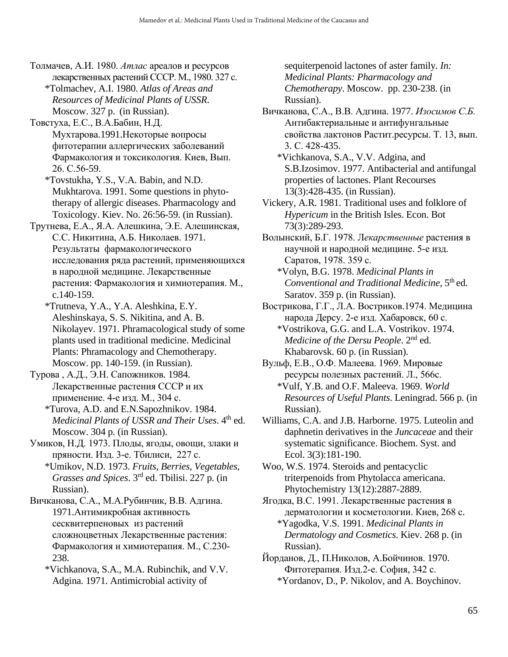Толмачев, А.И. 1980. *Атлас* ареалов и ресурсов лекарственных растений СССР. М., 1980. 327 с. \*Tolmachev, A.I. 1980. *Atlas of Areas and* 

*Resources of Medicinal Plants of USSR*. Moscow. 327 p. (in Russian).

- Товстуха, Е.С., В.А.Бабин, Н.Д. Мухтарова.1991.Некоторые вопросы фитотерапии аллергических заболеваний Фармакология и токсикология. Киев, Вып. 26. С.56-59.
	- \*Tovstukha, Y.S., V.A. Babin, and N.D. Mukhtarova. 1991. Some questions in phytotherapy of allergic diseases. Pharmacology and Toxicology. Kiev. No. 26:56-59. (in Russian).
- Трутнева, Е.А., Я.А. Алешкина, Э.Е. Алешинская, С.С. Никитина, А.Б. Николаев. 1971. Результаты фармакологического исследования ряда растений, применяющихся в народной медицине. Лекарственные растения: Фармакология и химиотерапия. М., c.140-159.
	- \*Trutneva, Y.A., Y.A. Aleshkina, E.Y. Aleshinskaya, S. S. Nikitina, and A. B. Nikolayev. 1971. Phramacological study of some plants used in traditional medicine. Medicinal Plants: Phramacology and Chemotherapy. Moscow. pp. 140-159. (in Russian).
- Турова , А.Д., Э.Н. Сапожников*.* 1984. Лекарственные растения СССР и их применение. 4-е изд. М., 304 с.
	- \*Turova, A.D. and E.N.Sapozhnikov. 1984. *Medicinal Plants of USSR and Their Uses.* 4<sup>th</sup> ed. Moscow. 304 p. (in Russian).
- Умиков, Н.Д. 1973. Плоды, ягоды, овощи, злаки и пряности. Изд. 3-е. Тбилиси, 227 с.

\*Umikov, N.D. 1973. *Fruits, Berries, Vegetables, Grasses and Spices*. 3rd ed. Tbilisi. 227 p. (in Russian).

Вичканова, С.А., М.А.Рубинчик, В.В. Адгина. 1971.Антимикробная активность сесквитерпеновых из растений сложноцветных Лекарственные растения: Фармакология и химиотерапия. М., С.230- 238.

\*Vichkanova, S.A., M.A. Rubinchik, and V.V. Adgina. 1971. Antimicrobial activity of

sequiterpenoid lactones of aster family*. In: Medicinal Plants: Pharmacology and Chemotherapy*. Moscow. pp. 230-238. (in Russian).

- Вичканова, С.А., В.В. Адгина. 1977. *Изосимов С.Б.*  Антибактериальные и антифунгальные свойства лактонов Растит.рeсурсы. Т. 13, вып. 3. С. 428-435.
	- \*Vichkanova, S.A., V.V. Adgina, and S.B.Izosimov. 1977. Antibacterial and antifungal properties of lactones. Plant Recourses 13(3):428-435. (in Russian).
- Vickery, A.R. 1981. Traditional uses and folklore of *Hypericum* in the British Isles. Econ. Bot 73(3):289-293.
- Волынский, Б.Г. 1978. Л*екарственные* растения в научной и народной медицине. 5-е изд. Саратов, 1978. 359 с.
	- \*Volyn, B.G. 1978. *Medicinal Plants in*  Conventional and Traditional Medicine, 5<sup>th</sup> ed. Saratov. 359 p. (in Russian).
- Вострикова, Г.Г., Л.А. Востриков.1974. Медицина народа Дерсу. 2-е изд. Хабаровск, 60 с.
	- \*Vostrikova, G.G. and L.A. Vostrikov. 1974. *Medicine of the Dersu People*. 2nd ed. Khabarovsk. 60 p. (in Russian).
- Вульф, Е.В., О.Ф. Малеева. 1969. Мировые ресурсы полезных растений. Л., 566с.
	- \*Vulf, Y.B. and O.F. Maleeva. 1969. *World Resources of Useful Plants*. Leningrad. 566 p. (in Russian).
- Williams, C.A. and J.B. Harborne. 1975. Luteolin and daphnetin derivatives in the *Juncaceae* and their systematic significance. Biochem. Syst. and Ecol. 3(3):181-190.

Woo, W.S. 1974. Steroids and pentacyclic triterpenoids from Phytolacca americana. Phytochemistry 13(12):2887-2889.

Ягодка, В.С. 1991. Лекарственные растения в дерматологии и косметологии. Киев, 268 с.

- \*Yagodka, V.S. 1991. *Medicinal Plants in Dermatology and Cosmetics*. Kiev. 268 p. (in Russian).
- Йорданов, Д., П.Николов, А.Бойчинов. 1970. Фитотерапия. Изд.2-е. София, 342 с. \*Yordanov, D., P. Nikolov, and A. Boychinov.